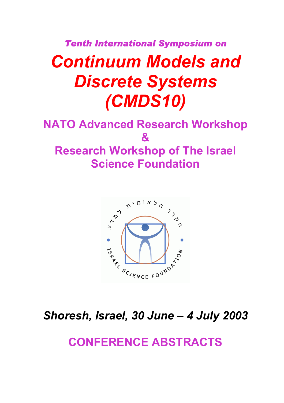# *Tenth International Symposium on Continuum Models and Discrete Systems (CMDS10)*

**NATO Advanced Research Workshop & Research Workshop of The Israel Science Foundation** 



*Shoresh, Israel, 30 June – 4 July 2003*

**CONFERENCE ABSTRACTS**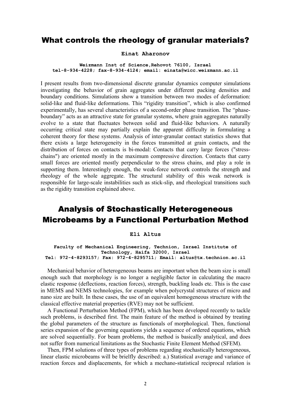### What controls the rheology of granular materials?

#### **Einat Aharonov**

**Weizmann Inst of Science,Rehovot 76100, Israel tel-8-934-4228; fax-8-934-4124; email: einata@wicc.weizmann.ac.il** 

I present results from two-dimensional discrete granular dynamics computer simulations investigating the behavior of grain aggregates under different packing densities and boundary conditions. Simulations show a transition between two modes of deformation: solid-like and fluid-like deformations. This "rigidity transition", which is also confirmed experimentally, has several characteristics of a second-order phase transition. The "phaseboundary" acts as an attractive state for granular systems, where grain aggregates naturally evolve to a state that fluctuates between solid and fluid-like behaviors. A naturally occurring critical state may partially explain the apparent difficulty in formulating a coherent theory for these systems. Analysis of inter-granular contact statistics shows that there exists a large heterogeneity in the forces transmitted at grain contacts, and the distribution of forces on contacts is bi-modal: Contacts that carry large forces ("stresschains") are oriented mostly in the maximum compressive direction. Contacts that carry small forces are oriented mostly perpendicular to the stress chains, and play a role in supporting them. Interestingly enough, the weak-force network controls the strength and rheology of the whole aggregate. The structural stability of this weak network is responsible for large-scale instabilities such as stick-slip, and rheological transitions such as the rigidity transition explained above.

## Analysis of Stochastically Heterogeneous Microbeams by a Functional Perturbation Method

### **Eli Altus**

**Faculty of Mechanical Engineering, Technion, Israel Institute of Technology, Haifa 32000, Israel Tel: 972-4-8293157; Fax: 972-4-8295711; Email: altus@tx.technion.ac.il** 

Mechanical behavior of heterogeneous beams are important when the beam size is small enough such that morphology is no longer a negligible factor in calculating the macro elastic response (deflections, reaction forces), strength, buckling loads etc. This is the case in MEMS and NEMS technologies, for example when polycrystal structures of micro and nano size are built. In these cases, the use of an equivalent homogeneous structure with the classical effective material properties (RVE) may not be sufficient.

A Functional Perturbation Method (FPM), which has been developed recently to tackle such problems, is described first. The main feature of the method is obtained by treating the global parameters of the structure as functionals of morphological. Then, functional series expansion of the governing equations yields a sequence of ordered equations, which are solved sequentially. For beam problems, the method is basically analytical, and does not suffer from numerical limitations as the Stochastic Finite Element Method (SFEM).

Then, FPM solutions of three types of problems regarding stochastically heterogeneous, linear elastic microbeams will be brielfly described: a.) Statistical average and variance of reaction forces and displacements, for which a mechano-statistical reciprocal relation is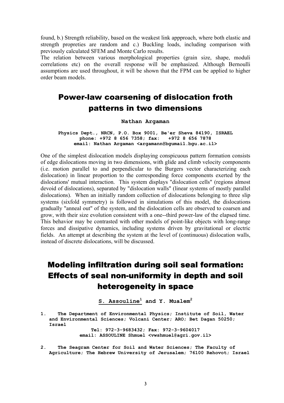found, b.) Strength reliability, based on the weakest link appproach, where both elastic and strength propreties are random and c.) Buckling loads, including comparison with previously calculated SFEM and Monte Carlo results.

The relation between various morphological properties (grain size, shape, moduli correlations etc) on the overall response will be emphasized. Although Bernoulli assumptions are used throughout, it will be shown that the FPM can be applied to higher order beam models.

## Power-law coarsening of dislocation froth patterns in two dimensions

#### **Nathan Argaman**

**Physics Dept., NRCN, P.O. Box 9001, Be'er Sheva 84190, ISRAEL phone: +972 8 656 7358; fax: +972 8 656 7878 email: Nathan Argaman <argamann@bgumail.bgu.ac.il>** 

One of the simplest dislocation models displaying conspicuous pattern formation consists of edge dislocations moving in two dimensions, with glide and climb velocity components (i.e. motion parallel to and perpendicular to the Burgers vector characterizing each dislocation) in linear proportion to the corresponding force components exerted by the dislocations' mutual interaction. This system displays "dislocation cells" (regions almost devoid of dislocations), separated by "dislocation walls" (linear systems of mostly parallel dislocations). When an initially random collection of dislocations belonging to three slip systems (sixfold symmetry) is followed in simulations of this model, the dislocations gradually "anneal out" of the system, and the dislocation cells are observed to coarsen and grow, with their size evolution consistent with a one--third power-law of the elapsed time. This behavior may be contrasted with other models of point-like objects with long-range forces and dissipative dynamics, including systems driven by gravitational or electric fields. An attempt at describing the system at the level of (continuous) dislocation walls, instead of discrete dislocations, will be discussed.

## Modeling infiltration during soil seal formation: Effects of seal non-uniformity in depth and soil heterogeneity in space

**S. Assouline<sup>1</sup> and Y. Mualem<sup>2</sup>**

**1. The Department of Environmental Physics; Institute of Soil, Water and Environmental Sciences; Volcani Center; ARO; Bet Dagan 50250; Israel** 

> **Tel: 972-3-9683432; Fax: 972-3-9604017 email: ASSOULINE Shmuel <vwshmuel@agri.gov.il>**

**2. The Seagram Center for Soil and Water Sciences; The Faculty of Agriculture; The Hebrew University of Jerusalem; 76100 Rehovot; Israel**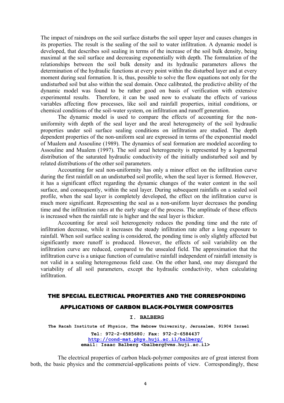The impact of raindrops on the soil surface disturbs the soil upper layer and causes changes in its properties. The result is the sealing of the soil to water infiltration. A dynamic model is developed, that describes soil sealing in terms of the increase of the soil bulk density, being maximal at the soil surface and decreasing exponentially with depth. The formulation of the relationships between the soil bulk density and its hydraulic parameters allows the determination of the hydraulic functions at every point within the disturbed layer and at every moment during seal formation. It is, thus, possible to solve the flow equations not only for the undisturbed soil but also within the seal domain. Once calibrated, the predictive ability of the dynamic model was found to be rather good on basis of verification with extensive experimental results. Therefore, it can be used now to evaluate the effects of various variables affecting flow processes, like soil and rainfall properties, initial conditions, or chemical conditions of the soil-water system, on infiltration and runoff generation.

The dynamic model is used to compare the effects of accounting for the nonuniformity with depth of the seal layer and the areal heterogeneity of the soil hydraulic properties under soil surface sealing conditions on infiltration are studied. The depth dependent properties of the non-uniform seal are expressed in terms of the exponential model of Mualem and Assouline (1989). The dynamics of seal formation are modeled according to Assouline and Mualem (1997). The soil areal heterogeneity is represented by a lognormal distribution of the saturated hydraulic conductivity of the initially undisturbed soil and by related distributions of the other soil parameters.

Accounting for seal non-uniformity has only a minor effect on the infiltration curve during the first rainfall on an undisturbed soil profile, when the seal layer is formed. However, it has a significant effect regarding the dynamic changes of the water content in the soil surface, and consequently, within the seal layer. During subsequent rainfalls on a sealed soil profile, when the seal layer is completely developed, the effect on the infiltration curve is much more significant. Representing the seal as a non-uniform layer decreases the ponding time and the infiltration rates at the early stage of the process. The amplitude of these effects is increased when the rainfall rate is higher and the seal layer is thicker.

Accounting for areal soil heterogeneity reduces the ponding time and the rate of infiltration decrease, while it increases the steady infiltration rate after a long exposure to rainfall. When soil surface sealing is considered, the ponding time is only slightly affected but significantly more runoff is produced. However, the effects of soil variability on the infiltration curve are reduced, compared to the unsealed field. The approximation that the infiltration curve is a unique function of cumulative rainfall independent of rainfall intensity is not valid in a sealing heterogeneous field case. On the other hand, one may disregard the variability of all soil parameters, except the hydraulic conductivity, when calculating infiltration.

### THE SPECIAL ELECTRICAL PROPERTIES AND THE CORRESPONDING APPLICATIONS OF CARBON BLACK-POLYMER COMPOSITES

### **I. BALBERG**

**The Racah Institute of Physics, The Hebrew University, Jerusalem, 91904 Israel Tel: 972-2-6585680; Fax: 972-2-6584437 http://cond-mat.phys.huji.ac.il/balberg/ email: Isaac Balberg <balberg@vms.huji.ac.il>** 

 The electrical properties of carbon black-polymer composites are of great interest from both, the basic physics and the commercial-applications points of view. Correspondingly, these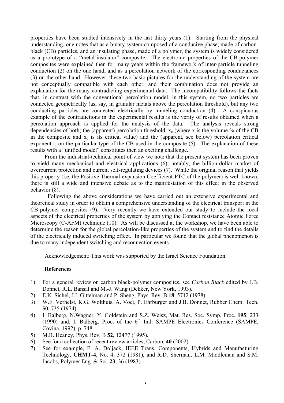properties have been studied intensively in the last thirty years (1). Starting from the physical understanding, one notes that as a binary system composed of a conducive phase, made of carbonblack (CB) particles, and an insulating phase, made of a polymer, the system is widely considered as a prototype of a "metal-insulator" composite. The electronic properties of the CB-polymer composites were explained then for many years within the framework of inter-particle tunneling conduction (2) on the one hand, and as a percolation network of the corresponding conductances (3) on the other hand. However, these two basic pictures for the understanding of the system are not conceptually compatible with each other, and their combination does not provide an explanation for the many contradicting experimental data. The incompatibility follows the facts that, in contrast with the conventional percolation model, in this system, no two particles are connected geometrically (as, say, in granular metals above the percolation threshold), but any two conducting particles are connected electrically by tunneling conduction (4). A conspicuous example of the contradictions in the experimental results is the verity of results obtained when a percolation approach is applied for the analysis of the data. The analysis reveals strong dependencies of both; the (apparent) percolation threshold,  $x_c$  (where x is the volume % of the CB in the composite and  $x_c$  is its critical value) and the (apparent, see below) percolation critical exponent t, on the particular type of the CB used in the composite (5). The explanation of these results with a "unified model" constitutes then an exciting challenge.

From the industrial-technical point of view we note that the present system has been proven to yield many mechanical and electrical applications (6), notably, the billion-dollar market of overcurrent protection and current self-regulating devices (7). While the original reason that yields this property (i.e. the Positive Thermal-expansion Coefficient-PTC of the polymer) is well known, there is still a wide and intensive debate as to the manifestation of this effect in the observed behavior (8).

Following the above considerations we have carried out an extensive experimental and theoretical study in order to obtain a comprehensive understanding of the electrical transport in the CB-polymer composites (9). Very recently we have extended our study to include the local aspects of the electrical properties of the system by applying the Contact resistance Atomic Force Microscopy (C-AFM) technique (10). As will be discussed at the workshop, we have been able to determine the reason for the global percolation-like properties of the system and to find the details of the electrically induced switching effect. In particular we found that the global phenomenon is due to many independent switching and reconnection events.

Acknowledgement: This work was supported by the Israel Science Foundation.

### **References**

- 1) For a general review on carbon black-polymer composites, see *Carbon Black* edited by J.B. Donnet, R.L. Bansal and M.-J. Wang (Dekker, New York, 1993).
- 2) E.K. Sichel, J.I. Gittelman and P. Sheng, Phys. Rev. B **18**, 5712 (1978).
- 3) W.F. Verhelst, K.G. Wolthuis, A. Voet, P. Ehrburger and J.B. Donnet, Rubber Chem. Tech. **50**, 735 (1974).
- 4) I. Balberg, N.Wagner, Y. Goldstein and S.Z. Weisz, Mat. Res. Soc. Symp. Proc. **195**, 233 (1990) and, I. Balberg, Proc. of the  $6<sup>th</sup>$  Intl. SAMPE Electronics Conference (SAMPE, Covina, 1992), p. 748.
- 5) M.B. Heaney, Phys. Rev. B **52**, 12477 (1995).
- 6) See for a collection of recent review articles, Carbon, **40** (2002).
- 7) See for example, F. A. Doljack, IEEE Trans. Components, Hybrids and Manufacturing Technology, **CHMT-4**, No. 4, 372 (1981), and R.D. Sherman, L.M. Middleman and S.M. Jacobs, Polymer Eng. & Sci. **23**, 36 (1983).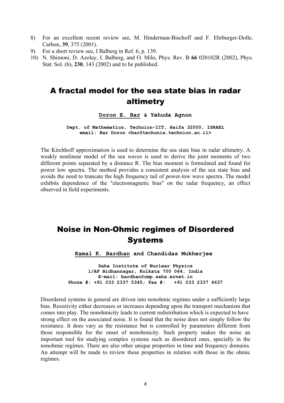- 8) For an excellent recent review see, M. Hinderman-Bischoff and F. Ehrburger-Dolle, Carbon, **39**, 375 (2001).
- 9) For a short review see, I Balberg in Ref. 6, p. 139.
- 10) N. Shimoni, D. Azolay, I. Balberg, and O. Milo, Phys. Rev. B **66** 020102R (2002), Phys. Stat. Sol. (b), **230**, 143 (2002) and to be published.

## A fractal model for the sea state bias in radar altimetry

**Doron E. Bar & Yehuda Agnon** 

**Dept. of Mathematics, Technion-IIT, Haifa 32000, ISRAEL email: Bar Doron <bar@techunix.technion.ac.il>** 

The Kirchhoff approximation is used to determine the sea state bias in radar altimetry. A weakly nonlinear model of the sea waves is used to derive the joint moments of two different points separated by a distance R. The bias moment is formulated and found for power low spectra. The method provides a consistent analysis of the sea state bias and avoids the need to truncate the high frequency tail of power-low wave spectra. The model exhibits dependence of the "electromagnetic bias" on the radar frequency, an effect observed in field experiments.

## Noise in Non-Ohmic regimes of Disordered Systems

**Kamal K. Bardhan and Chandidas Mukherjee** 

**Saha Institute of Nuclear Physics 1/AF Bidhannagar, Kolkata 700 064, India E-mail: bardhan@cmp.saha.ernet.in Phone #: +91 033 2337 5345; Fax #: +91 033 2337 4637** 

Disordered systems in general are driven into nonohmic regimes under a sufficiently large bias. Resistivity either decreases or increases depending upon the transport mechanism that comes into play. The nonohmicity leads to current redistribution which is expected to have strong effect on the associated noise. It is found that the noise does not simply follow the resistance. It does vary as the resistance but is controlled by parameters different from those responsible for the onset of nonohmicity. Such property makes the noise an important tool for studying complex systems such as disordered ones, specially in the nonohmic regimes. There are also other unique properties in time and frequency domains. An attempt will be made to review these properties in relation with those in the ohmic regimes.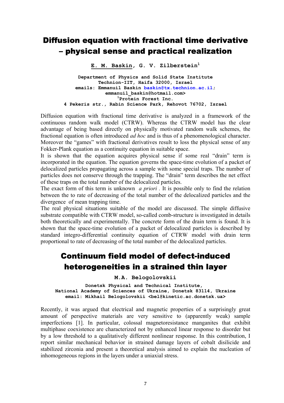## Diffusion equation with fractional time derivative – physical sense and practical realization

**E. M. Baskin, G. V. Zilberstein<sup>1</sup>**

**Department of Physics and Solid State Institute Technion-IIT, Haifa 32000, Israel emails: Emmanuil Baskin baskin@tx.technion.ac.il; emmanuil\_baskin@hotmail.com> 1 Protein Forest Inc. 4 Pekeris str., Rabin Science Park, Rehovot 76702, Israel** 

Diffusion equation with fractional time derivative is analyzed in a framework of the continuous random walk model (CTRW). Whereas the CTRW model has the clear advantage of being based directly on physically motivated random walk schemes, the fractional equation is often introduced *ad hoc* and is thus of a phenomenological character. Moreover the "games" with fractional derivatives result to loss the physical sense of any Fokker-Plank equation as a continuity equation in suitable space.

It is shown that the equation acquires physical sense if some real "drain" term is incorporated in the equation. The equation governs the space-time evolution of a packet of delocalized particles propagating across a sample with some special traps. The number of particles does not conserve through the trapping. The "drain" term describes the net effect of these traps on the total number of the delocalized particles.

The exact form of this term is unknown *a priori*. It is possible only to find the relation between the to rate of decreasing of the total number of the delocalized particles and the divergence of mean trapping time.

The real physical situations suitable of the model are discussed. The simple diffusive substrate compatible with CTRW model, so-called comb-structure is investigated in details both theoretically and experimentally. The concrete form of the drain term is found. It is shown that the space-time evolution of a packet of delocalized particles is described by standard integro-differential continuity equation of CTRW model with drain term proportional to rate of decreasing of the total number of the delocalized particles.

## Continuum field model of defect-induced heterogeneities in a strained thin layer

**M.A. Belogolovskii**

**Donetsk Physical and Technical Institute, National Academy of Sciences of Ukraine, Donetsk 83114, Ukraine email: Mikhail Belogolovskii <bel@kinetic.ac.donetsk.ua>** 

Recently, it was argued that electrical and magnetic properties of a surprisingly great amount of perspective materials are very sensitive to (apparently weak) sample imperfections [1]. In particular, colossal magnetoresistance manganites that exhibit multiphase coexistence are characterized not by enhanced linear response to disorder but by a low threshold to a qualitatively different nonlinear response. In this contribution, I report similar mechanical behavior in strained damage layers of cobalt disilicide and stabilized zirconia and present a theoretical analysis aimed to explain the nucleation of inhomogeneous regions in the layers under a uniaxial stress.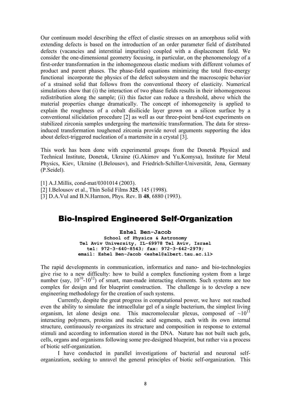Our continuum model describing the effect of elastic stresses on an amorphous solid with extending defects is based on the introduction of an order parameter field of distributed defects (vacancies and interstitial impurities) coupled with a displacement field. We consider the one-dimensional geometry focusing, in particular, on the phenomenology of a first-order transformation in the inhomogeneous elastic medium with different volumes of product and parent phases. The phase-field equations minimizing the total free-energy functional incorporate the physics of the defect subsystem and the macroscopic behavior of a strained solid that follows from the conventional theory of elasticity. Numerical simulations show that (i) the interaction of two phase fields results in their inhomogeneous redistribution along the sample; (ii) this factor can reduce a threshold, above which the material properties change dramatically. The concept of inhomogeneity is applied to explain the roughness of a cobalt disilicide layer grown on a silicon surface by a conventional silicidation procedure [2] as well as our three-point bend-test experiments on stabilized zirconia samples undergoing the martensitic transformation. The data for stressinduced transformation toughened zirconia provide novel arguments supporting the idea about defect-triggered nucleation of a martensite in a crystal [3].

This work has been done with experimental groups from the Donetsk Physical and Technical Institute, Donetsk, Ukraine (G.Akimov and Yu.Komysa), Institute for Metal Physics, Kiev, Ukraine (I.Belousov), and Friedrich-Schiller-Universität, Jena, Germany (P.Seidel).

[1] A.J.Millis, cond-mat/0301014 (2003). [2] I.Belousov et al., Thin Solid Films **325**, 145 (1998). [3] D.A.Vul and B.N.Harmon, Phys. Rev. B **48**, 6880 (1993).

### Bio-Inspired Engineered Self-Organization

**Eshel Ben-Jacob** 

**School of Physics & Astronomy Tel Aviv University, IL-69978 Tel Aviv, Israel tel: 972-3-640-8543; fax: 972-3-642-2979; email: Eshel Ben-Jacob <eshel@albert.tau.ac.il>** 

The rapid developments in communication, informatics and nano- and bio-technologies give rise to a new difficulty: how to build a complex functioning system from a large number (say,  $10^{10}$ - $10^{12}$ ) of smart, man-made interacting elements. Such systems are too complex for design and for blueprint construction. The challenge is to develop a new engineering methodology for the creation of such systems.

Currently, despite the great progress in computational power, we have not reached even the ability to simulate the intracellular gel of a single bacterium, the simplest living organism, let alone design one. This macromolecular plexus, composed of  $~10^{11}$ interacting polymers, proteins and nucleic acid segments, each with its own internal structure, continuously re-organizes its structure and composition in response to external stimuli and according to information stored in the DNA. Nature has not built such gels, cells, organs and organisms following some pre-designed blueprint, but rather via a process of biotic self-organization.

I have conducted in parallel investigations of bacterial and neuronal selforganization, seeking to unravel the general principles of biotic self-organization. This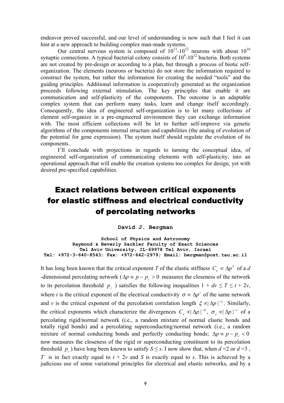endeavor proved successful, and our level of understanding is now such that I feel it can hint at a new approach to building complex man-made systems.

Our central nervous system is composed of  $10^{11}$ - $10^{12}$  neurons with about  $10^{16}$ synaptic connections. A typical bacterial colony consists of  $10^9$ - $10^{12}$  bacteria. Both systems are not created by pre-design or according to a plan, but through a process of biotic selforganization. The elements (neurons or bacteria) do not store the information required to construct the system, but rather the information for creating the needed "tools" and the guiding principles. Additional information is cooperatively generated as the organization proceeds following external stimulation. The key principles that enable it are communication and self-plasticity of the components. The outcome is an adaptable complex system that can perform many tasks, learn and change itself accordingly. Consequently, the idea of engineered self-organization is to let many collections of element self-organize in a pre-engineered environment they can exchange information with. The most efficient collections will be let to further self-improve via genetic algorithms of the components internal structure and capabilities (the analog of evolution of the potential for gene expression). The system itself should regulate the evolution of its components.

I'll conclude with projections in regards to turning the conceptual idea, of engineered self-organization of communicating elements with self-plasticity, into an operational approach that will enable the creation systems too complex for design, yet with desired pre-specified capabilities.

## Exact relations between critical exponents for elastic stiffness and electrical conductivity of percolating networks

**David J. Bergman** 

**School of Physics and Astronomy Raymond & Beverly Sackler Faculty of Exact Sciences Tel Aviv University, IL-69978 Tel Aviv, Israel Tel: +972-3-640-8543; Fax: +972-642-2979; Email: bergman@post.tau.ac.il** 

It has long been known that the critical exponent *T* of the elastic stiffness  $C_e \propto \Delta p^T$  of a *d* -dimensional percolating network ( $\Delta p \equiv p - p_c > 0$  measures the closeness of the network to its percolation threshold  $p_c$ ) satisfies the following inequalities  $1 + dv \le T \le t + 2v$ , where *t* is the critical exponent of the electrical conductivity  $\sigma \propto \Delta p^t$  of the same network and *v* is the critical exponent of the percolation correlation length  $\xi \propto |\Delta p|^{-\nu}$ . Similarly, the critical exponents which characterize the divergences  $C_e \propto |\Delta p|^{-s}$ ,  $\sigma_e \propto |\Delta p|^{-s}$  of a percolating rigid/normal network (i.e., a random mixture of normal elastic bonds and totally rigid bonds) and a percolating superconducting/normal network (i.e., a random mixture of normal conducting bonds and perfectly conducting bonds;  $\Delta p \equiv p - p_c < 0$ now measures the closeness of the rigid or superconducting constituent to its percolation threshold  $p_c$ ) have long been known to satisfy  $S \leq s$ . I now show that, when  $d = 2$  or  $d = 3$ , *T* is in fact exactly equal to  $t + 2v$  and *S* is exactly equal to *s*. This is achieved by a judicious use of some variational principles for electrical and elastic networks, and by a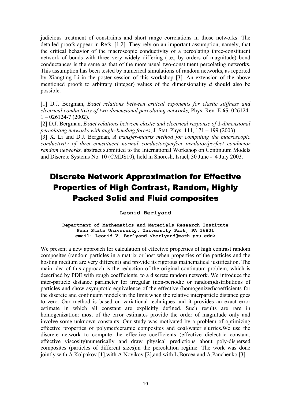judicious treatment of constraints and short range correlations in those networks. The detailed proofs appear in Refs. [1,2]. They rely on an important assumption, namely, that the critical behavior of the macroscopic conductivity of a percolating three-constituent network of bonds with three very widely differing (i.e., by orders of magnitude) bond conductances is the same as that of the more usual two-constituent percolating networks. This assumption has been tested by numerical simulations of random networks, as reported by Xiangting Li in the poster session of this workshop [3]. An extension of the above mentioned proofs to arbitrary (integer) values of the dimensionality *d* should also be possible.

[1] D.J. Bergman, *Exact relations between critical exponents for elastic stiffness and electrical conductivity of two-dimensional percolating networks,* Phys. Rev. E **65**, 026124-  $1 - 026124 - 7(2002)$ .

[2] D.J. Bergman, *Exact relations between elastic and electrical response of* d*-dimensional percolating networks with angle-bending forces*, J. Stat. Phys. **111**, 171 – 199 (2003).

[3] X. Li and D.J. Bergman, *A transfer-matrix method for computing the macroscopic conductivity of three-constituent normal conductor/perfect insulator/perfect conductor random networks,* abstract submitted to the International Workshop on Continuum Models and Discrete Systems No. 10 (CMDS10), held in Shoresh, Israel, 30 June - 4 July 2003.

## Discrete Network Approximation for Effective Properties of High Contrast, Random, Highly Packed Solid and Fluid composites

**Leonid Berlyand** 

**Department of Mathematics and Materials Research Institute Penn State University, University Park, PA 16801 email: Leonid V. Berlyand <berlyand@math.psu.edu>** 

We present a new approach for calculation of effective properties of high contrast random composites (random particles in a matrix or host when properties of the particles and the hosting medium are very different) and provide its rigorous mathematical justification. The main idea of this approach is the reduction of the original continuum problem, which is described by PDE with rough coefficients, to a discrete random network. We introduce the inter-particle distance parameter for irregular (non-periodic or random)distributions of particles and show asymptotic equivalence of the effective (homogenized)coefficients for the discrete and continuum models in the limit when the relative interparticle distance goes to zero. Our method is based on variational techniques and it provides an exact error estimate in which all constant are explicitly defined. Such results are rare in homogenization: most of the error estimates provide the order of magnitude only and involve some unknown constants. Our study was motivated by a problem of optimizing effective properties of polymer/ceramic composites and coal/water slurries.We use the discrete network to compute the effective coefficients (effective dielectric constant, effective viscosity)numerically and draw physical predictions about poly-dispersed composites (particles of different sizes)in the percolation regime. The work was done jointly with A.Kolpakov [1],with A.Novikov [2],and with L.Borcea and A.Panchenko [3].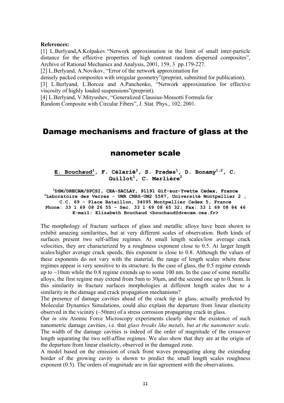### **References:**

[1] L.Berlyand,A.Kolpakov."Network approximation in the limit of small inter-particle distance for the effective properties of high contrast random dispersed composites", Archive of Rational Mechanics and Analysis, 2001, 159, 3 pp.179-227.

[2] L.Berlyand, A.Novikov, "Error of the network approximation for

densely packed composites with irregular geometry"(preprint, submitted for publication).

[3] L.Berlyand, L.Borcea and A.Panchenko, "Network approximation for effective viscosity of highly loaded suspensions"(preprint).

[4] L.Berlyand, V.Mityushev, "Generalized Clausius-Mossotti Formula for

Random Composite with Circular Fibers", J. Stat. Phys., 102, 2001.

### Damage mechanisms and fracture of glass at the

### nanometer scale

**E. Bouchaud1 , F. Célarié2 , S. Prades1 , D. Bonamy1,2 , C. Guillot1 , C. Marlière2**

**1 DSM/DRECAM/SPCSI, CEA-SACLAY, <sup>91191</sup> Gif-sur-Yvette Cedex, France <sup>2</sup> Laboratoire des Verres - UMR CNRS-UM2 5587, Université Montpellier 2 , C.C. 69 - Place Bataillon, 34095 Montpellier Cedex 5, France Phone: 33 1 69 08 26 55 - Sec. 33 1 69 08 65 32; Fax: 33 1 69 08 84 46**  E-mail: Elisabeth Bouchaud <br/>bouchaud@drecam.cea.fr>

The morphology of fracture surfaces of glass and metallic alloys have been shown to exhibit amazing similarities, but at very different scales of observation. Both kinds of surfaces present two self-affine regimes. At small length scales/low average crack velocities, they are characterized by a roughness exponent close to 0.5. At larger length scales/higher average crack speeds, this exponent is close to 0.8. Although the values of these exponents do not vary with the material, the range of length scales where these regimes appear is very sensitive to its structure. In the case of glass, the 0.5 regime extends up to  $\sim$ 10nm while the 0.8 regime extends up to some 100 nm. In the case of some metallic alloys, the first regime may extend from 5nm to 30µm, and the second one up to 0.5mm. Is this similarity in fracture surfaces morphologies at different length scales due to a similarity in the damage and crack propagation mechanisms?

The presence of damage cavities ahead of the crack tip in glass, actually predicted by Molecular Dynamics Simulations, could also explain the departure from linear elasticity observed in the vicinity  $(\sim 50$ nm) of a stress corrosion propagating crack in glass.

Our *in situ* Atomic Force Microscopy experiments clearly show the existence of such nanometric damage cavities, i.e. that *glass breaks like metals, but at the nanometer scale*. The width of the damage cavities is indeed of the order of magnitude of the crossover length separating the two self-affine regimes. We also show that they are at the origin of the departure from linear elasticity, observed in the damaged zone.

A model based on the emission of crack front waves propagating along the extending border of the growing cavity is shown to predict the small length scales roughness exponent (0.5). The orders of magnitude are in fair agreement with the observations.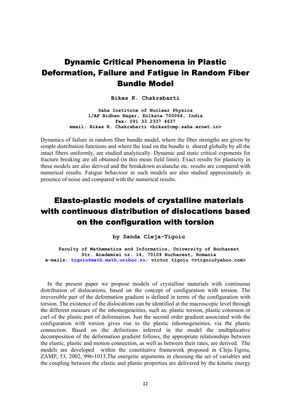## Dynamic Critical Phenomena in Plastic Deformation, Failure and Fatigue in Random Fiber Bundle Model

**Bikas K. Chakrabarti** 

**Saha Institute of Nuclear Physics 1/AF Bidhan Nagar, Kolkata 700064, India Fax: 091 33 2337 4637 email: Bikas K. Chakrabarti <bikas@cmp.saha.ernet.in>** 

Dynamics of failure in random fiber bundle model, where the fiber strengths are given by simple distribution functions and where the load on the bundle is shared globally by all the intact fibers uniformly, are studied analytically. Dynamic and static critical exponents for fracture breaking are all obtained (in this mean field limit). Exact results for plasticity in these models are also derived and the breakdown avalanche etc. results are compared with numerical results. Fatigue behaviour in such models are also studied approximately in presence of noise and compared with the numerical results.

## Elasto-plastic models of crystalline materials with continuous distribution of dislocations based on the configuration with torsion

**by Sanda Cleja-Tigoiu** 

**Faculty of Mathematics and Informatics, University of Bucharest Str. Academiei nr. 14, 70109 Bucharest, Romania e-mails: tigoiu@math.math.unibuc.ro; victor tigoiu <vtigoiu@yahoo.com>** 

In the present paper we propose models of crystalline materials with continuous distribution of dislocations, based on the concept of configuration with torsion. The irreversible part of the deformation gradient is defined in terms of the configuration with torsion. The existence of the dislocations can be identified at the macroscopic level through the different measure of the inhomogeneities, such as: plastic torsion, plastic cotorsion or curl of the plastic part of deformation. Just the second order gradient associated with the configuration with torsion gives rise to the plastic inhomogeneities, via the plastic connection. Based on the definitions inferred in the model the multiplicative decomposition of the deformation gradient follows, the appropriate relationships between the elastic, plastic and motion connection, as well as between their rates, are derived. The models are developed within the constitutive framework proposed in Cleja-Tigoiu, ZAMP, 53, 2002, 996-1013.The energetic arguments in choosing the set of variables and the coupling between the elastic and plastic properties are delivered by the kinetic energy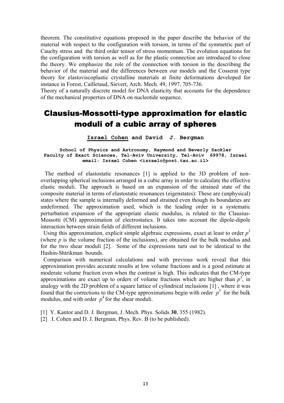theorem. The constitutive equations proposed in the paper describe the behavior of the material with respect to the configuration with torsion, in terms of the symmetric part of Cauchy stress and the third order tensor of stress momentum. The evolution equations for the configuration with torsion as well as for the plastic connection are introduced to close the theory. We emphasize the role of the connection with torsion in the describing the behavior of the material and the differences between our models and the Cosserat type theory for elastoviscoplastic crystalline materials at finite deformations developed for instance in Forest, Cailletaud, Sievert, Arch. Mech. 49, 1997, 705-736.

Theory of a naturally discrete model for DNA elasticity that accounts for the dependence of the mechanical properties of DNA on nucleotide sequence.

## Clausius-Mossotti-type approximation for elastic moduli of a cubic array of spheres

**Israel Cohen and David J. Bergman** 

**School of Physics and Astronomy, Raymond and Beverly Sackler Faculty of Exact Sciences, Tel-Aviv University, Tel-Aviv 69978, Israel email: Israel Cohen <israelc@post.tau.ac.il>** 

 The method of elastostatic resonances [1] is applied to the 3D problem of nonoverlapping spherical inclusions arranged in a cubic array in order to calculate the effective elastic moduli. The approach is based on an expansion of the strained state of the composite material in terms of elastostatic resonances (eigenstates): These are (unphysical) states where the sample is internally deformed and strained even though its boundaries are undeformed. The approximation used, which is the leading order in a systematic perturbation expansion of the appropriate elastic modulus, is related to the Clausius-Mossotti (CM) approximation of electrostatics. It takes into account the dipole-dipole interaction between strain fields of different inclusions.

Using this approximation, explicit simple algebraic expressions, exact at least to order  $p<sup>3</sup>$ (where  $p$  is the volume fraction of the inclusions), are obtained for the bulk modulus and for the two shear moduli [2]. Some of the expressions turn out to be identical to the Hashin-Shtrikman bounds.

 Comparison with numerical calculations and with previous work reveal that this approximation provides accurate results at low volume fractions and is a good estimate at moderate volume fraction even when the contrast is high. This indicates that the CM-type approximations are exact up to orders of volume fractions which are higher than  $p^3$ , in analogy with the 2D problem of a square lattice of cylindrical inclusions [1] , where it was found that the corrections to the CM-type approximations begin with order  $p^5$  for the bulk modulus, and with order  $p^4$  for the shear moduli.

- [1] Y. Kantor and D. J. Bergman, J. Mech. Phys. Solids **30**, 355 (1982).
- [2] I. Cohen and D. J. Bergman, Phys. Rev. B (to be published).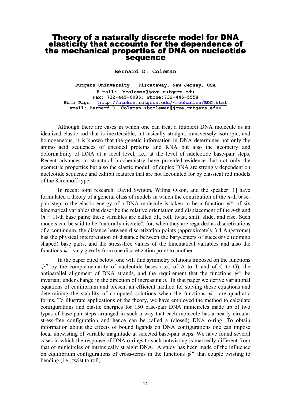### Theory of a naturally discrete model for DNA elasticity that accounts for the dependence of the mechanical properties of DNA on nucleotide sequence

**Bernard D. Coleman** 

**Rutgers Uninversity, Piscataway, New Jersey, USA E-mail: bcoleman@jove.rutgers.edu Fax: 732-445-0085; Phone:732-445-5558 Home Page: http://stokes.rutgers.edu/~mechanics/BDC.html email: Bernard D. Coleman <bcoleman@jove.rutgers.edu>** 

Although there are cases in which one can treat a (duplex) DNA molecule as an idealized elastic rod that is inextensible, intrinsically straight, transversely isotropic, and homogeneous, it is known that the genetic information in DNA determines not only the amino acid sequences of encoded proteins and RNA but also the geometry and deformability of DNA at a local level, i.e., at the level of nucleotide base-pair steps. Recent advances in structural biochemistry have provided evidence that not only the geometric properties but also the elastic moduli of duplex DNA are strongly dependent on nucleotide sequence and exhibit features that are not accounted for by classical rod models of the Kirchhoff type.

In recent joint research, David Swigon, Wilma Olson, and the speaker [1] have formulated a theory of a general class of models in which the contribution of the *n*-th basepair step to the elastic energy of a DNA molecule is taken to be a function  $\tilde{\psi}^n$  of six kinematical variables that describe the relative orientation and displacement of the *n*-th and  $(n + 1)$ -th base pairs; these variables are called tilt, roll, twist, shift, slide, and rise. Such models can be said to be "naturally discrete"; for, when they are regarded as discretizations of a continuum, the distance between discretization points (approximately 3.4 Angstroms) has the physical interpretation of distance between the barycenters of successive (domino shaped) base pairs, and the stress-free values of the kinematical variables and also the functions  $\tilde{\psi}^n$  vary greatly from one discretization point to another.

In the paper cited below, one will find symmetry relations imposed on the functions  $\tilde{\psi}^n$  by the complementarity of nucleotide bases (i.e., of A to T and of C to G), the antiparallel alignment of DNA strands, and the requirement that the functions  $\tilde{\psi}^n$  be invariant under change in the direction of increasing *n*. In that paper we derive variational equations of equilibrium and present an efficient method for solving those equations and determining the stability of computed solutions when the functions  $\tilde{\psi}^n$  are quadratic forms. To illustrate applications of the theory, we have employed the method to calculate configurations and elastic energies for 150 base-pair DNA minicircles made up of two types of base-pair steps arranged in such a way that each molecule has a nearly circular stress-free configuration and hence can be called a (closed) DNA o-ring. To obtain information about the effects of bound ligands on DNA configurations one can impose local untwisting of variable magnitude at selected base-pair steps. We have found several cases in which the response of DNA o-rings to such untwisting is markedly different from that of minicircles of intrinsically straight DNA. A study has been made of the influence on equilibrium configurations of cross-terms in the functions  $\tilde{\psi}^n$  that couple twisting to bending (i.e., twist to roll).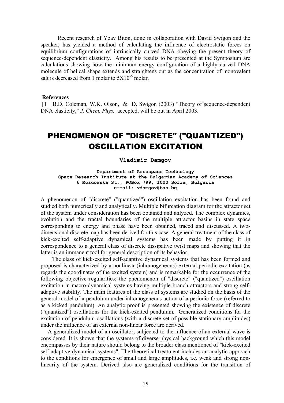Recent research of Yoav Biton, done in collaboration with David Swigon and the speaker, has yielded a method of calculating the influence of electrostatic forces on equilibrium configurations of intrinsically curved DNA obeying the present theory of sequence-dependent elasticity. Among his results to be presented at the Symposium are calculations showing how the minimum energy configuration of a highly curved DNA molecule of helical shape extends and straightens out as the concentration of monovalent salt is decreased from 1 molar to  $5X10^{-6}$  molar.

### **References**

[1] B.D. Coleman, W.K. Olson, & D. Swigon (2003) "Theory of sequence-dependent DNA elasticity," *J. Chem. Phys.,* accepted, will be out in April 2003.

## PHENOMENON OF "DISCRETE" ("QUANTIZED") OSCILLATION EXCITATION

**Vladimir Damgov** 

**Department of Aerospace Technology Space Research Institute at the Bulgarian Academy of Sciences 6 Moscowska St., POBox 799, 1000 Sofia, Bulgaria e-mail: vdamgov@bas.bg** 

A phenomenon of "discrete" ("quantized") oscillation excitation has been found and studied both numerically and analytically. Multiple bifurcation diagram for the attractor set of the system under consideration has been obtained and anlyzed. The complex dynamics, evolution and the fractal boundaries of the multiple attractor basins in state space corresponding to energy and phase have been obtained, traced and discussed. A twodimensional discrete map has been derived for this case. A general treatment of the class of kick-excited self-adaptive dynamical systems has been made by putting it in correspondence to a general class of discrete dissipative twist maps and showing that the latter is an immanent tool for general description of its behavior.

 The class of kick-excited self-adaptive dynamical systems that has been formed and proposed is characterized by a nonlinear (inhomogeneous) external periodic excitation (as regards the coordinates of the excited system) and is remarkable for the occurrence of the following objective regularities: the phenomenon of "discrete" ("quantized") oscillation excitation in macro-dynamical systems having multiple branch attractors and strong selfadaptive stability. The main features of the class of systems are studied on the basis of the general model of a pendulum under inhomogeneous action of a periodic force (referred to as a kicked pendulum). An analytic proof is presented showing the existence of discrete ("quantized") oscillations for the kick-excited pendulum. Generalized conditions for the excitation of pendulum oscillations (with a discrete set of possible stationary amplitudes) under the influence of an external non-linear force are derived.

 A generalized model of an oscillator, subjected to the influence of an external wave is considered. It is shown that the systems of diverse physical background which this model encompasses by their nature should belong to the broader class mentioned of "kick-excited self-adaptive dynamical systems". The theoretical treatment includes an analytic approach to the conditions for emergence of small and large amplitudes, i.e. weak and strong nonlinearity of the system. Derived also are generalized conditions for the transition of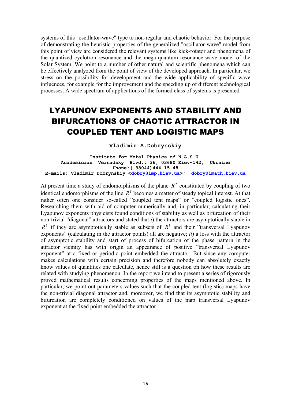systems of this "oscillator-wave" type to non-regular and chaotic behavior. For the purpose of demonstrating the heuristic properties of the generalized "oscillator-wave" model from this point of view are considered the relevant systems like kick-rotator and phenomena of the quantized cyclotron resonance and the mega-quantum resonance-wave model of the Solar System. We point to a number of other natural and scientific phenomena which can be effectively analyzed from the point of view of the developed approach. In particular, we stress on the possibility for development and the wide applicability of specific wave influences, for example for the improvement and the speeding up of different technological processes. A wide spectrum of applications of the formed class of systems is presented.

## LYAPUNOV EXPONENTS AND STABILITY AND BIFURCATIONS OF CHAOTIC ATTRACTOR IN COUPLED TENT AND LOGISTIC MAPS

**Vladimir A.Dobrynskiy** 

**Institute for Metal Physics of N.A.S.U. Academician Vernadsky Blvd., 36, 03680 Kiev-142, Ukraine Phone:(+38044)444 15 48 E-mails: Vladimir Dobrynskiy <dobry@imp.kiev.ua>; dobry@imath.kiev.ua**

At present time a study of endomorphisms of the plane  $R^2$  constituted by coupling of two identical endomorphisms of the line  $R<sup>1</sup>$  becomes a matter of steady topical interest. At that rather often one consider so-called "coupled tent maps" or "coupled logistic ones". Researching them with aid of computer numerically and, in particular, calculating their Lyapunov exponents physicists found conditions of stability as well as bifurcation of their non-trivial "diagonal" attractors and stated that *i*) the attractors are asymptotically stable in  $R^2$  if they are asymptotically stable as subsets of  $R^1$  and their "transversal Lyapunov" exponents" (calculating in the attractor points) all are negative; *ii*) a loss with the attractor of asymptotic stability and start of process of bifurcation of the phase pattern in the attractor vicinity has with origin an appearance of positive "transversal Lyapunov exponent" at a fixed or periodic point embedded the attractor. But since any computer makes calculations with certain precision and therefore nobody can absolutely exactly know values of quantities one calculate, hence still is a question on how these results are related with studying phenomenon. In the report we intend to present a series of rigorously proved mathematical results concerning properties of the maps mentioned above. In particular, we point out parameters values such that the coupled tent (logistic) maps have the non-trivial diagonal attractor and, moreover, we find that its asymptotic stability and bifurcation are completely conditioned on values of the map transversal Lyapunov exponent at the fixed point embedded the attractor.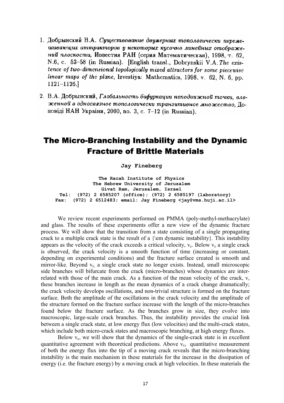- 1. Добрынский В.А. Существование двумерных топологически перемешивающих аттракторов у некоторых кусочно линейных отображений плоскости, Известия РАН (серия Математическая), 1998, т. 62, N.6, c. 53-58 (in Russian). [English transl., Dobrynskii V.A. The existence of two-dimensional topologically mixed attractors for some piecewise linear maps of the plane, Izvestiya: Mathematics, 1998, v. 62, N. 6, pp.  $1121 - 1126.$
- 2. В.А. Добрынский, Глобальность бифуркации неподвижной точки, вложенной в односвязное топологически транзитивное множество, Доповіді НАН Украіни, 2000, по. 3, с. 7-12 (in Russian).

## The Micro-Branching Instability and the Dynamic Fracture of Brittle Materials

**Jay Fineberg** 

**The Racah Institute of Physics The Hebrew University of Jerusalem Givat Ram, Jerusalem, Israel Tel: (972) 2 6585207 (office); (972) 2 6585197 (laboratory) Fax: (972) 2 6512483; email: Jay Fineberg <jay@vms.huji.ac.il>** 

We review recent experiments performed on PMMA (poly-methyl-methacrylate) and glass. The results of these experiments offer a new view of the dynamic fracture process. We will show that the transition from a state consisting of a single propagating crack to a multiple crack state is the result of a {\em dynamic instability}*.* This instability appears as the velocity of the crack exceeds a critical velocity,  $v_c$ . Below  $v_c$  a single crack is observed, the crack velocity is a smooth function of time (increasing or constant, depending on experimental conditions) and the fracture surface created is smooth and mirror-like. Beyond  $v_c$  a single crack state no longer exists. Instead, small microscopic side branches will bifurcate from the crack (micro-branches) whose dynamics are interrelated with those of the main crack. As a function of the mean velocity of the crack, v, these branches increase in length as the mean dynamics of a crack change dramatically; the crack velocity develops oscillations, and non-trivial structure is formed on the fracture surface. Both the amplitude of the oscillations in the crack velocity and the amplitude of the structure formed on the fracture surface increase with the length of the micro-branches found below the fracture surface. As the branches grow in size, they evolve into macroscopic, large-scale crack branches. Thus, the instability provides the crucial link between a single crack state, at low energy flux (low velocities) and the multi-crack states, which include both micro-crack states and macroscopic branching, at high energy fluxes.

Below  $v_c$ , we will show that the dynamics of the single-crack state is in excellent quantitative agreement with theoretical predictions. Above  $v_c$ , quantitative measurement of both the energy flux into the tip of a moving crack reveals that the micro-branching instability is the main mechanism in these materials for the increase in the dissipation of energy (i.e. the fracture energy) by a moving crack at high velocities. In these materials the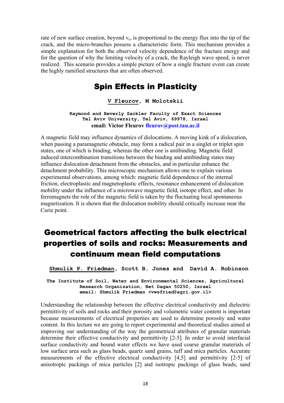rate of new surface creation, beyond  $v_c$ , is proportional to the energy flux into the tip of the crack, and the micro-branches possess a characteristic form. This mechanism provides a simple explanation for both the observed velocity dependence of the fracture energy and for the question of why the limiting velocity of a crack, the Rayleigh wave speed, is never realized. This scenario provides a simple picture of how a single fracture event can create the highly ramified structures that are often observed.

### Spin Effects in Plasticity

**V Fleurov, M Molotskii** 

**Raymond and Beverly Sackler Faculty of Exact Sciences Tel Aviv University, Tel Aviv, 69978, Israel email: Victor Fleurov fleurov@post.tau.ac.il**

A magnetic field may influence dynamics of dislocations. A moving kink of a dislocation, when passing a paramagnetic obstacle, may form a radical pair in a singlet or triplet spin states, one of which is binding, whereas the other one is antibinding. Magnetic field induced intercombination transitions between the binding and antibinding states may influence dislocation detachment from the obstacles, and in particular enhance the detachment probability. This microscopic mechanism allows one to explain various experimental observations, among which: magnetic field dependence of the internal friction, electroplastic and magnetoplastic effects, resonance enhancement of dislocation mobility under the influence of a microwave magnetic field, isotope effect, and other. In ferromagnets the role of the magnetic field is taken by the fluctuating local spontaneous magnetization. It is shown that the dislocation mobility should critically increase near the Curie point.

## Geometrical factors affecting the bulk electrical properties of soils and rocks: Measurements and continuum mean field computations

**Shmulik P. Friedman, Scott B. Jones and David A. Robinson** 

**The Institute of Soil, Water and Environmental Sciences, Agricultural Research Organization, Bet Dagan 50250, Israel email: Shmulik Friedman <vwsfried@agri.gov.il>** 

Understanding the relationship between the effective electrical conductivity and dielectric permittivity of soils and rocks and their porosity and volumetric water content is important because measurements of electrical properties are used to determine porosity and water content. In this lecture we are going to report experimental and theoretical studies aimed at improving our understanding of the way the geometrical attributes of granular materials determine their effective conductivity and permittivity [2-5]. In order to avoid interfacial surface conductivity and bound water effects we have used coarse granular materials of low surface area such as glass beads, quartz sand grains, tuff and mica particles. Accurate measurements of the effective electrical conductivity [4,5] and permittivity [2-5] of anisotropic packings of mica particles [2] and isotropic packings of glass beads, sand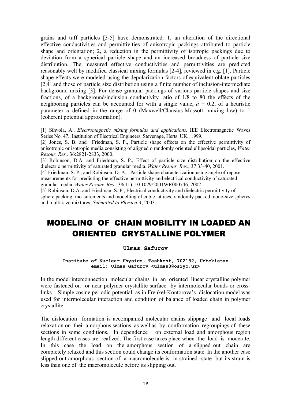grains and tuff particles [3-5] have demonstrated: 1, an alteration of the directional effective conductivities and permittivities of anisotropic packings attributed to particle shape and orientation; 2, a reduction in the permittivity of isotropic packings due to deviation from a spherical particle shape and an increased broadness of particle size distribution. The measured effective conductivities and permittivities are predicted reasonably well by modified classical mixing formulas [2-4], reviewed in e.g. [1]. Particle shape effects were modeled using the depolarization factors of equivalent oblate particles [2,4] and those of particle size distribution using a finite number of inclusion-intermediate background mixing [3]. For dense granular packings of various particle shapes and size fractions, of a background/inclusion conductivity ratio of 1/8 to 80 the effects of the neighboring particles can be accounted for with a single value,  $a = 0.2$ , of a heuristic parameter *a* defined in the range of 0 (Maxwell/Clausius-Mossotti mixing law) to 1 (coherent potential approximation).

[1] Sihvola, A., *Electromagnetic mixing formulas and applications,* IEE Electromagnetic Waves Series No. 47., Institution of Electrical Engineers, Stevenage, Herts. UK., 1999.

[2] Jones, S. B. and Friedman, S. P., Particle shape effects on the effective permittivity of anisotropic or isotropic media consisting of aligned o randomly oriented ellipsoidal particles, *Water Resour. Res.,* 36:2821-2833, 2000.

[3] Robinson, D.A. and Friedman, S. P., Effect of particle size distribution on the effective dielectric permittivity of saturated granular media. *Water Resour. Res.*, 37:33-40, 2001.

[4] Friedman, S. P., and Robinson, D. A., Particle shape characterization using angle of repose measurements for predicting the effective permittivity and electrical conductivity of saturated granular media. *Water Resour. Res.*, 38(11), 10.1029/2001WR000746, 2002.

[5] Robinson, D.A. and Friedman, S. P., Electrical conductivity and dielectric permittivity of sphere packing: measurements and modelling of cubic lattices, randomly packed mono-size spheres and multi-size mixtures, *Submitted to Physica A*, 2003.

## MODELING OF CHAIN MOBILITY IN LOADED AN ORIENTED CRYSTALLINE POLYMER

### **Ulmas Gafurov**

#### **Institute of Nuclear Physics, Tashkent, 702132, Uzbekistan email: Ulmas Gafurov <ulmas3@osiyo.uz>**

In the model interconnection molecular chains in an oriented linear crystalline polymer were fastened on or near polymer crystallite surface by intermolecular bonds or crosslinks. Simple cosine periodic potential as in Frenkel-Kontorova's dislocation model was used for intermolecular interaction and condition of balance of loaded chain in polymer crystallite.

The dislocation formation is accompanied molecular chains slippage and local loads relaxation on their amorphous sections as well as by conformation regroupings of these sections in some conditions. In dependence on external load and amorphous region length different cases are realized. The first case takes place when the load is moderate. In this case the load on the amorphous section of a slipped out chain are completely relaxed and this section could change its conformation state. In the another case slipped out amorphous section of a macromolecule is in strained state but its strain is less than one of the macromolecule before its slipping out.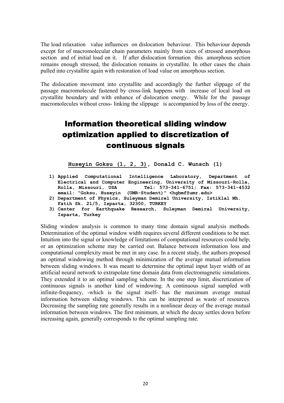The load relaxation value influences on dislocation behaviour. This behaviour depends except for of macromolecular chain parameters mainly from sizes of stressed amorphous section and of initial load on it. If after dislocation formation this amorphous section remains enough stressed, the dislocation remains in crystallite. In other cases the chain pulled into crystallite again with restoration of load value on amorphous section.

The dislocation movement into crystallite and accordingly the further slippage of the passage macromolecule fastened by cross-link happens with increase of local load on crystallite boundary and with enhance of dislocation energy. While for the passage macromolecules without cross- linking the slippage is accompanied by loss of the energy.

## Information theoretical sliding window optimization applied to discretization of continuous signals

**Huseyin Goksu (1, 2, 3), Donald C. Wunsch (1)** 

- **1) Applied Computational Intelligence Laboratory, Department of Electrical and Computer Engineering, University of Missouri-Rolla, Rolla, Missouri, USA Tel: 573-341-6751; Fax: 573-341-4532 email: "Goksu, Huseyin (UMR-Student)" <hgbmf@umr.edu>**
- **2) Department of Physics, Suleyman Demirel University, Istiklal Mh. Fatih Sk. 21/5, Isparta, 32300, TURKEY**
- **3) Center for Earthquake Research, Suleyman Demiral University, Isparta, Turkey**

Sliding window analysis is common to many time domain signal analysis methods. Determination of the optimal window width requires several different conditions to be met. Intuition into the signal or knowledge of limitations of computational resources could help; or an optimization scheme may be carried out. Balance between information loss and computational complexity must be met in any case. In a recent study, the authors proposed an optimal windowing method through minimization of the average mutual information between sliding windows. It was meant to determine the optimal input layer width of an artificial neural network to extrapolate time domain data from electromagnetic simulations. They extended it to an optimal sampling scheme. In the one step limit, discretization of continuous signals is another kind of windowing. A continuous signal sampled with infinite-frequency, -which is the signal itself- has the maximum average mutual information between sliding windows. This can be interpreted as waste of resources. Decreasing the sampling rate generally results in a nonlinear decay of the average mutual information between windows. The first minimum, at which the decay settles down before increasing again, generally corresponds to the optimal sampling rate.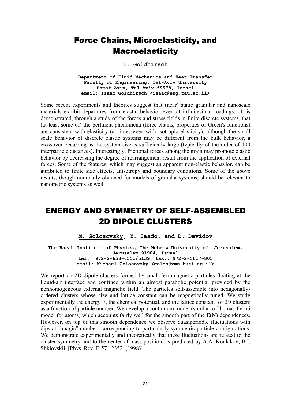## Force Chains, Microelasticity, and Macroelasticity

**I. Goldhirsch** 

**Department of Fluid Mechanics and Heat Transfer Faculty of Engineering, Tel-Aviv University Ramat-Aviv, Tel-Aviv 69978, Israel email: Isaac Goldhirsch <isaac@eng.tau.ac.il>** 

Some recent experiments and theories suggest that (near) static granular and nanoscale materials exhibit departures from elastic behavior even at infinitesimal loadings. It is demonstrated, through a study of the forces and stress fields in finite discrete systems, that (at least some of) the pertinent phenomena (force chains, properties of Green's functions) are consistent with elasticity (at times even with isotropic elasticity), although the small scale behavior of discrete elastic systems may be different from the bulk behavior, a crossover occurring as the system size is sufficiently large (typically of the order of 100 interparticle distances). Interestingly, frictional forces among the grain may promote elastic behavior by decreasing the degree of rearrangement result from the application of external forces. Some of the features, which may suggest an apparent non-elastic behavior, can be attributed to finite size effects, anisotropy and boundary conditions. Some of the above results, though nominally obtained for models of granular systems, should be relevant to nanometric systems as well.

## ENERGY AND SYMMETRY OF SELF-ASSEMBLED 2D DIPOLE CLUSTERS

**M. Golosovsky, Y. Saado, and D. Davidov** 

**The Racah Institute of Physics, The Hebrew University of Jerusalem, Jerusalem 91904, Israel tel.: 972-2-658-6551/5139; fax.: 972-2-5617-805 email: Michael Golosovsky <golos@vms.huji.ac.il>** 

We report on 2D dipole clusters formed by small ferromagnetic particles floating at the liquid-air interface and confined within an almost parabolic potential provided by the nonhomogeneous external magnetic field. The particles self-assemble into hexagonallyordered clusters whose size and lattice constant can be magnetically tuned. We study experimentally the energy E, the chemical potential, and the lattice constant of 2D clusters as a function of particle number. We develop a continuum model (similar to Thomas-Fermi model for atoms) which accounts fairly well for the smooth part of the E(N) dependences. However, on top of this smooth dependence we observe quasiperiodic fluctuations with dips at ``magic'' numbers corresponding to particularly symmetric particle configurations. We demonstrate experimentally and theoretically that these fluctuations are related to the cluster symmetry and to the center of mass position, as predicted by A.A. Koulakov, B.I. Shklovskii, [Phys. Rev. B 57, 2352 (1998)].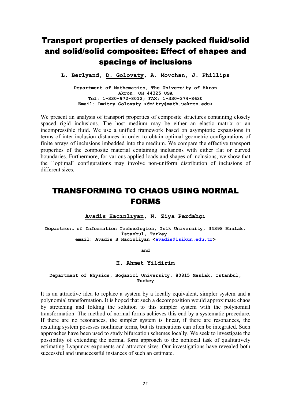## Transport properties of densely packed fluid/solid and solid/solid composites: Effect of shapes and spacings of inclusions

**L. Berlyand, D. Golovaty, A. Movchan, J. Phillips** 

**Department of Mathematics, The University of Akron Akron, OH 44325 USA Tel: 1-330-972-8012; FAX: 1-330-374-8630 Email: Dmitry Golovaty <dmitry@math.uakron.edu>** 

We present an analysis of transport properties of composite structures containing closely spaced rigid inclusions. The host medium may be either an elastic matrix or an incompressible fluid. We use a unified framework based on asymptotic expansions in terms of inter-inclusion distances in order to obtain optimal geometric configurations of finite arrays of inclusions imbedded into the medium. We compare the effective transport properties of the composite material containing inclusions with either flat or curved boundaries. Furthermore, for various applied loads and shapes of inclusions, we show that the ``optimal'' configurations may involve non-uniform distribution of inclusions of different sizes.

## TRANSFORMING TO CHAOS USING NORMAL FORMS

**Avadis Hacınlıyan, N. Ziya Perdahçı**

**Department of Information Technologies, Isik University, 34398 Maslak, İstanbul, Turkey email: Avadis S Hacinliyan <avadis@isikun.edu.tr>** 

**and** 

### **H. Ahmet Yildirim**

**Department of Physics, Boğazici University, 80815 Maslak, Istanbul, Turkey**

It is an attractive idea to replace a system by a locally equivalent, simpler system and a polynomial transformation. It is hoped that such a decomposition would approximate chaos by stretching and folding the solution to this simpler system with the polynomial transformation. The method of normal forms achieves this end by a systematic procedure. If there are no resonances, the simpler system is linear, if there are resonances, the resulting system posesses nonlinear terms, but its truncations can often be integrated. Such approaches have been used to study bifurcation schemes locally. We seek to investigate the possibility of extending the normal form approach to the nonlocal task of qualitatively estimating Lyapunov exponents and attractor sizes. Our investigations have revealed both successful and unsuccessful instances of such an estimate.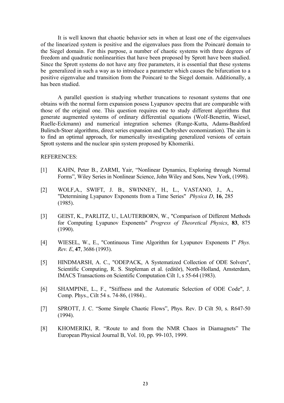It is well known that chaotic behavior sets in when at least one of the eigenvalues of the linearized system is positive and the eigenvalues pass from the Poincaré domain to the Siegel domain. For this purpose, a number of chaotic systems with three degrees of freedom and quadratic nonlinearities that have been proposed by Sprott have been studied. Since the Sprott systems do not have any free parameters, it is essential that these systems be generalized in such a way as to introduce a parameter which causes the bifurcation to a positive eigenvalue and transition from the Poincaré to the Siegel domain. Additionally, a has been studied.

A parallel question is studying whether truncations to resonant systems that one obtains with the normal form expansion posess Lyapunov spectra that are comparable with those of the original one. This question requires one to study different algorithms that generate augmented systems of ordinary differential equations (Wolf-Benettin, Wiesel, Ruelle-Eckmann) and numerical integration schemes (Runge-Kutta, Adams-Bashford Bulirsch-Stoer algorithms, direct series expansion and Chebyshev economization). The aim is to find an optimal approach, for numerically investigating generalized versions of certain Sprott systems and the nuclear spin system proposed by Khomeriki.

REFERENCES:

- [1] KAHN, Peter B., ZARMI, Yair, "Nonlinear Dynamics, Exploring through Normal Forms", Wiley Series in Nonlinear Science, John Wiley and Sons, New York, (1998).
- [2] WOLF,A., SWIFT, J. B., SWINNEY, H., L., VASTANO, J., A., "Determining Lyapunov Exponents from a Time Series" *Physica D*, **16**, 285 (1985).
- [3] GEIST, K., PARLITZ, U., LAUTERBORN, W., "Comparison of Different Methods for Computing Lyapunov Exponents" *Progress of Theoretical Physics*, **83**, 875 (1990).
- [4] WIESEL, W., E., "Continuous Time Algorithm for Lyapunov Exponents I" *Phys. Rev. E*, **47**, 3686 (1993).
- [5] HINDMARSH, A. C., "ODEPACK, A Systematized Collection of ODE Solvers", Scientific Computing, R. S. Stepleman et al. (editör), North-Holland, Amsterdam, IMACS Transactions on Scientific Computation Cilt 1, s 55-64 (1983).
- [6] SHAMPINE, L., F., "Stiffness and the Automatic Selection of ODE Code", J. Comp. Phys., Cilt 54 s. 74-86, (1984)..
- [7] SPROTT, J. C. "Some Simple Chaotic Flows", Phys. Rev. D Cilt 50, s. R647-50 (1994).
- [8] KHOMERIKI, R. "Route to and from the NMR Chaos in Diamagnets" The European Physical Journal B, Vol. 10, pp. 99-103, 1999.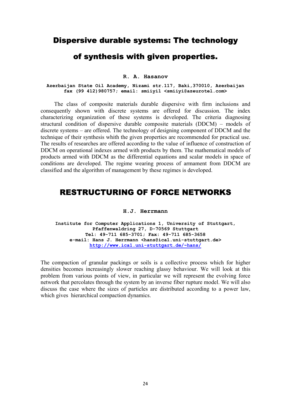### Dispersive durable systems: The technology

### of synthesis with given properties.

### **R. A. Hasanov**

### **Azerbaijan State Oil Academy, Nizami str.117, Baki,370010, Azerbaijan fax (99 412)980757; email: smiiyi1 <smiiyi@azeurotel.com>**

The class of composite materials durable dispersive with firm inclusions and consequently shown with discrete systems are offered for discussion. The index characterizing organization of these systems is developed. The criteria diagnosing structural condition of dispersive durable composite materials (DDCM) – models of discrete systems – are offered. The technology of designing component of DDCM and the technique of their synthesis whith the given properties are recommended for practical use. The results of researches are offered according to the value of influence of construction of DDCM on operational indexes armed with products by them. The mathematical models of products armed with DDCM as the differential equations and scalar models in space of conditions are developed. The regime wearing process of armament from DDCM are classified and the algorithm of management by these regimes is developed.

### RESTRUCTURING OF FORCE NETWORKS

#### **H.J. Herrmann**

**Institute for Computer Applications 1, University of Stuttgart, Pfaffenwaldring 27, D-70569 Stuttgart Tel: 49-711 685-3701; Fax: 49-711 685-3658 e-mail: Hans J. Herrmann <hans@ica1.uni-stuttgart.de> http://www.ica1.uni-stuttgart.de/~hans/**

The compaction of granular packings or soils is a collective process which for higher densities becomes increasingly slower reaching glassy behaviour. We will look at this problem from various points of view, in particular we will represent the evolving force network that percolates through the system by an inverse fiber rupture model. We will also discuss the case where the sizes of particles are distributed according to a power law, which gives hierarchical compaction dynamics.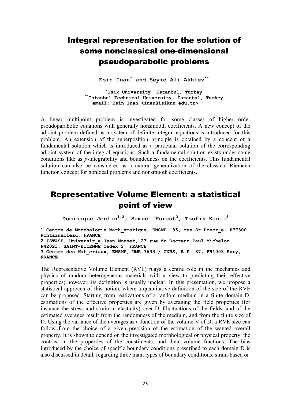## Integral representation for the solution of some nonclassical one-dimensional pseudoparabolic problems

**Esin Inan\* and Seyid Ali Akhiev\*\***

\*Işık University, Istanbul, Turkey \*\*Istanbul Technical University, İstanbul, Turkey **email: Esin Inan <inan@isikun.edu.tr>** 

A linear multipoint problem is investigated for some classes of higher order pseudoparabolic equations with generally nonsmooth coefficients. A new concept of the adjoint problem defined as a system of definite integral equations is introduced for this problem. An extension of the superposition principle is obtained by a concept of a fundamental solution which is introduced as a particular solution of the corresponding adjoint system of the integral equations. Such a fundamental solution exists under some conditions like as *p*-integrability and boundedness on the coefficients. This fundamental solution can also be considered as a natural generalization of the classical Riemann function concept for nonlocal problems and nonsmooth coefficients.

## Representative Volume Element: a statistical point of view

**Dominique Jeulin1;2, Samuel Forest3 , Toufik Kanit<sup>3</sup>**

**1 Centre de Morphologie Math\_ematique, ENSMP, 35, rue St-Honor\_e, F77300 Fontainebleau, FRANCE 2 ISTASE, Universit\_e Jean Monnet, 23 rue du Docteur Paul Michelon, F42023, SAINT-ETIENNE Cedex 2, FRANCE 3 Centre des Mat\_eriaux, ENSMP, UMR 7633 / CNRS, B.P. 87, F91003 Evry, FRANCE**

The Representative Volume Element (RVE) plays a central role in the mechanics and physics of random heterogeneous materials with a view to predicting their effective properties; however, its definition is usually unclear. In this presentation, we propose a statistical approach of this notion, where a quantitative definition of the size of the RVE can be proposed. Starting from realizations of a random medium in a finite domain D, estimations of the effective properties are given by averaging the field properties (for instance the stress and strain in elasticity) over D. Fluctuations of the fields, and of the estimated averages result from the randomness of the medium, and from the finite size of D. Using the variance of the averages as a function of the volume V of D, a RVE size can follow from the choice of a given precision of the estimation of the wanted overall property. It is shown to depend on the investigated morphological or physical property, the contrast in the properties of the constituents, and their volume fractions. The bias introduced by the choice of specific boundary conditions prescribed to each domain D is also discussed in detail, regarding three main types of boundary conditions: strain-based or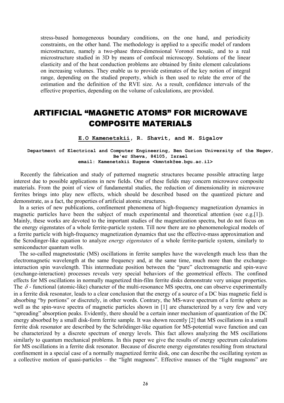stress-based homogeneous boundary conditions, on the one hand, and periodicity constraints, on the other hand. The methodology is applied to a specific model of random microstructure, namely a two-phase three-dimensional Voronoï mosaïc, and to a real microstructure studied in 3D by means of confocal microscopy. Solutions of the linear elasticity and of the heat conduction problems are obtained by finite element calculations on increasing volumes. They enable us to provide estimates of the key notion of integral range, depending on the studied property, which is then used to relate the error of the estimation and the definition of the RVE size. As a result, confidence intervals of the effective properties, depending on the volume of calculations, are provided.

## ARTIFICIAL "MAGNETIC ATOMS" FOR MICROWAVE COMPOSITE MATERIALS

**E.O Kamenetskii, R. Shavit, and M. Sigalov**

**Department of Electrical and Computer Engineering, Ben Gurion University of the Negev, Be'er Sheva, 84105, Israel email: Kamenetskii Eugene <kmntsk@ee.bgu.ac.il>** 

Recently the fabrication and study of patterned magnetic structures became possible attracting large interest due to possible applications in new fields. One of these fields may concern microwave composite materials. From the point of view of fundamental studies, the reduction of dimensionality in microwave ferrites brings into play new effects, which should be described based on the quantized picture and demonstrate, as a fact, the properties of artificial atomic structures.

 In a series of new publications, confinement phenomena of high-frequency magnetization dynamics in magnetic particles have been the subject of much experimental and theoretical attention (see e.g.[1]). Mainly, these works are devoted to the important studies of the magnetization spectra, but do not focus on the energy eigenstates of a whole ferrite-particle system. Till now there are no phenomenological models of a ferrite particle with high-frequency magnetization dynamics that use the effective-mass approximation and the Scrodinger-like equation to analyze *energy eigenstates* of a whole ferrite-particle system, similarly to semiconductor quantum wells.

 The so-called magnetostatic (MS) oscillations in ferrite samples have the wavelength much less than the electromagnetic wavelength at the same frequency and, at the same time, much more than the exchangeinteraction spin wavelength. This intermediate position between the "pure" electromagnetic and spin-wave (exchange-interaction) processes reveals very special behaviors of the geometrical effects. The confined effects for MS oscillations in normally magnetized thin-film ferrite disks demonstrate very unique properties. The  $\delta$ -functional (atomic-like) character of the multi-resonance MS spectra, one can observe experimentally in a ferrite disk resonator, leads to a clear conclusion that the energy of a source of a DC bias magnetic field is absorbing "by portions" or discretely, in other words. Contrary, the MS-wave spectrum of a ferrite sphere as well as the spin-wave spectra of magnetic particles shown in [1] are characterized by a very few and very "spreading" absorption peaks. Evidently, there should be a certain inner mechanism of quantization of the DC energy absorbed by a small disk-form ferrite sample. It was shown recently [2] that MS oscillations in a small ferrite disk resonator are described by the Schrödinger-like equation for MS-potential wave function and can be characterized by a discrete spectrum of energy levels. This fact allows analyzing the MS oscillations similarly to quantum mechanical problems. In this paper we give the results of energy spectrum calculations for MS oscillations in a ferrite disk resonator. Because of discrete energy eigenstates resulting from structural confinement in a special case of a normally magnetized ferrite disk, one can describe the oscillating system as a collective motion of quasi-particles – the "light magnons". Effective masses of the "light magnons" are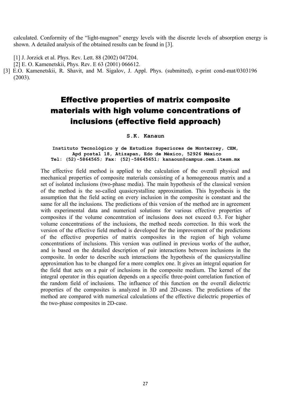calculated. Conformity of the "light-magnon" energy levels with the discrete levels of absorption energy is shown. A detailed analysis of the obtained results can be found in [3].

- [1] J. Jorzick et al. Phys. Rev. Lett. 88 (2002) 047204.
- [2] E. O. Kamenetskii, Phys. Rev. E 63 (2001) 066612.
- [3] E.O. Kamenetskii, R. Shavit, and M. Sigalov, J. Appl. Phys. (submitted), e-print cond-mat/0303196 (2003).

## Effective properties of matrix composite materials with high volume concentrations of inclusions (effective field approach)

**S.K. Kanaun**

#### **Instituto Tecnológico y de Estudios Superiores de Monterrey, CEM, Apd postal 18, Atizapan, Edo de México, 52926 México Tel: (52)-5864565; Fax: (52)-58645651; kanaoun@campus.cem.itesm.mx**

The effective field method is applied to the calculation of the overall physical and mechanical properties of composite materials consisting of a homogeneous matrix and a set of isolated inclusions (two-phase media). The main hypothesis of the classical version of the method is the so-called quasicrystalline approximation. This hypothesis is the assumption that the field acting on every inclusion in the composite is constant and the same for all the inclusions. The predictions of this version of the method are in agreement with experimental data and numerical solutions for various effective properties of composites if the volume concentration of inclusions does not exceed 0.3. For higher volume concentrations of the inclusions, the method needs correction. In this work the version of the effective field method is developed for the improvement of the predictions of the effective properties of matrix composites in the region of high volume concentrations of inclusions. This version was outlined in previous works of the author, and is based on the detailed description of pair interactions between inclusions in the composite. In order to describe such interactions the hypothesis of the quasicrystalline approximation has to be changed for a more complex one. It gives an integral equation for the field that acts on a pair of inclusions in the composite medium. The kernel of the integral operator in this equation depends on a specific three-point correlation function of the random field of inclusions. The influence of this function on the overall dielectric properties of the composites is analyzed in 3D and 2D-cases. The predictions of the method are compared with numerical calculations of the effective dielectric properties of the two-phase composites in 2D-case.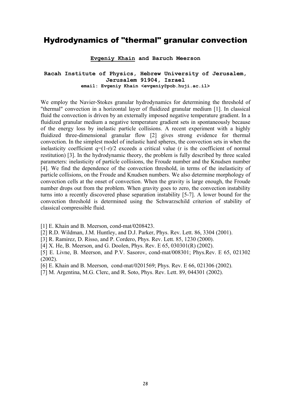### Hydrodynamics of "thermal" granular convection

**Evgeniy Khain and Baruch Meerson**

### **Racah Institute of Physics, Hebrew University of Jerusalem, Jerusalem 91904, Israel email: Evgeniy Khain <evgeniy@pob.huji.ac.il>**

We employ the Navier-Stokes granular hydrodynamics for determining the threshold of "thermal" convection in a horizontal layer of fluidized granular medium [1]. In classical fluid the convection is driven by an externally imposed negative temperature gradient. In a fluidized granular medium a negative temperature gradient sets in spontaneously because of the energy loss by inelastic particle collisions. A recent experiment with a highly fluidized three-dimensional granular flow [2] gives strong evidence for thermal convection. In the simplest model of inelastic hard spheres, the convection sets in when the inelasticity coefficient  $q=(1-r)/2$  exceeds a critical value (r is the coefficient of normal restitution) [3]. In the hydrodynamic theory, the problem is fully described by three scaled parameters: inelasticity of particle collisions, the Froude number and the Knudsen number [4]. We find the dependence of the convection threshold, in terms of the inelasticity of particle collisions, on the Froude and Knudsen numbers. We also determine morphology of convection cells at the onset of convection. When the gravity is large enough, the Froude number drops out from the problem. When gravity goes to zero, the convection instability turns into a recently discovered phase separation instability [5-7]. A lower bound for the convection threshold is determined using the Schwarzschild criterion of stability of classical compressible fluid.

- [1] E. Khain and B. Meerson, cond-mat/0208423.
- [2] R.D. Wildman, J.M. Huntley, and D.J. Parker, Phys. Rev. Lett. 86, 3304 (2001).
- [3] R. Ramirez, D. Risso, and P. Cordero, Phys. Rev. Lett. 85, 1230 (2000).
- [4] X. He, B. Meerson, and G. Doolen, Phys. Rev. E 65, 030301(R) (2002).

[5] E. Livne, B. Meerson, and P.V. Sasorov, cond-mat/008301; Phys.Rev. E 65, 021302 (2002).

[6] E. Khain and B. Meerson, cond-mat/0201569; Phys. Rev. E 66, 021306 (2002).

[7] M. Argentina, M.G. Clerc, and R. Soto, Phys. Rev. Lett. 89, 044301 (2002).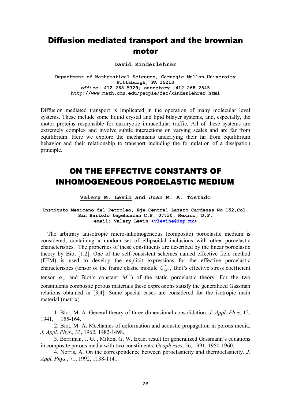## Diffusion mediated transport and the brownian motor

**David Kinderlehrer** 

#### **Department of Mathematical Sciences, Carnegie Mellon University Pittsburgh, PA 15213 office 412 268 5729; secretary 412 268 2545 http://www.math.cmu.edu/people/fac/kinderlehrer.html**

Diffusion mediated transport is implicated in the operation of many molecular level systems. These include some liquid crystal and lipid bilayer systems, and, especially, the motor proteins responsible for eukaryotic intracellular traffic. All of these systems are extremely complex and involve subtle interactions on varying scales and are far from equilibrium. Here we explore the mechanisms underlying their far from equilibrium behavior and their relationship to transport including the formulation of a dissipation principle.

## ON THE EFFECTIVE CONSTANTS OF INHOMOGENEOUS POROELASTIC MEDIUM.

### **Valery M. Levin and Juan M. A. Tostado**

#### **Instituto Mexicano del Petroleo, Eje Central Lazaro Cardenas No 152,Col. San Bartolo tepehuacan C.P. 07730, Mexico, D.F. email: Valery Levin <vlevine@imp.mx>**

The arbitrary anisotropic micro-inhomogeneous (composite) poroelastic medium is considered, containing a random set of ellipsoidal inclusions with other poroelastic characteristics. The properties of these constituents are described by the linear poroelastic theory by Biot [1,2]. One of the self-consistent schemes named effective field method (EFM) is used to develop the explicit expressions for the effective poroelastic characteristics (tensor of the frame elastic module  $C_{ikl}^*$ , Biot's effective stress coefficient tensor  $\alpha_{ii}$  and Biot's constant  $M^*$ ) of the static poroelastic theory. For the two constituents composite porous materials these expressions satisfy the generalized Gassman relations obtained in [3,4]. Some special cases are considered for the isotropic main material (matrix).

1. Biot, M. A. General theory of three-dimensional consolidation. *J. Appl. Phys.* 12, 1941, 155-164.

2. Biot, M. A. Mechanics of deformation and acoustic propagation in porous media. *J. Appl. Phys.,* 33, 1962, 1482-1498.

3. Berriman, J. G. , Milton, G. W. Exact result for generalized Gassmann's equations in composite porous media with two constituents. *Geophysics*, 56, 1991, 1950-1960.

4. Norris, A. On the correspondence between poroelasticity and thermoelasticity. *J. Appl. Phys.*, 71, 1992, 1138-1141.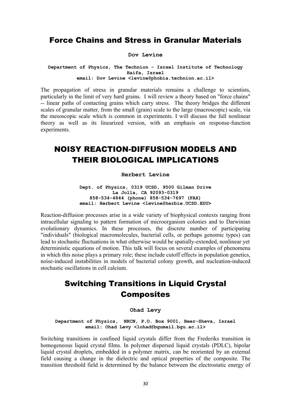### Force Chains and Stress in Granular Materials

#### **Dov Levine**

#### **Department of Physics, The Technion - Israel Institute of Technology Haifa, Israel email: Dov Levine <levine@phobia.technion.ac.il>**

The propagation of stress in granular materials remains a challenge to scientists, particularly in the limit of very hard grains. I will review a theory based on "force chains" -- linear paths of contacting grains which carry stress. The theory bridges the different scales of granular matter, from the small (grain) scale to the large (macroscopic) scale, via the mesoscopic scale which is common in experiments. I will discuss the full nonlinear theory as well as its linearized version, with an emphasis on response-function experiments.

## NOISY REACTION-DIFFUSION MODELS AND THEIR BIOLOGICAL IMPLICATIONS

### **Herbert Levine**

**Dept. of Physics, 0319 UCSD, 9500 Gilman Drive La Jolla, CA 92093-0319 858-534-4844 (phone) 858-534-7697 (FAX) email: Herbert Levine <levine@herbie.UCSD.EDU>** 

Reaction-diffusion processes arise in a wide variety of biophysical contexts ranging from intracellular signaling to pattern formation of microorganism colonies and to Darwinian evolutionary dynamics. In these processes, the discrete number of participating "individuals" (biological macromolecules, bacterial cells, or perhaps genomic types) can lead to stochastic fluctuations in what otherwise would be spatially-extended, nonlinear yet deterministic equations of motion. This talk will focus on several examples of phenomena in which this noise plays a primary role; these include cutoff effects in population genetics, noise-induced instabilities in models of bacterial colony growth, and nucleation-induced stochastic oscillations in cell calcium.

## Switching Transitions in Liquid Crystal Composites

#### **Ohad Levy**

**Department of Physics, NRCN, P.O. Box 9001, Beer-Sheva, Israel email: Ohad Levy <lohad@bgumail.bgu.ac.il>** 

Switching transitions in confined liquid crystals differ from the Frederiks transition in homogeneous liquid crystal films. In polymer dispersed liquid crystals (PDLC), bipolar liquid crystal droplets, embedded in a polymer matrix, can be reoriented by an external field causing a change in the dielectric and optical properties of the composite. The transition threshold field is determined by the balance between the electrostatic energy of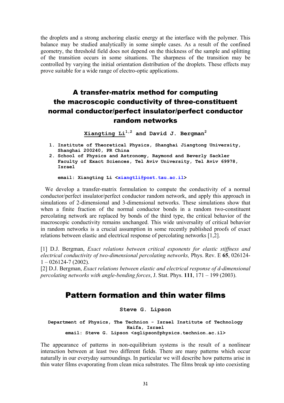the droplets and a strong anchoring elastic energy at the interface with the polymer. This balance may be studied analytically in some simple cases. As a result of the confined geometry, the threshold field does not depend on the thickness of the sample and splitting of the transition occurs in some situations. The sharpness of the transition may be controlled by varying the initial orientation distribution of the droplets. These effects may prove suitable for a wide range of electro-optic applications.

## A transfer-matrix method for computing the macroscopic conductivity of three-constituent normal conductor/perfect insulator/perfect conductor random networks

**Xiangting Li1,2 and David J. Bergman2** 

- **1. Institute of Theoretical Physics, Shanghai Jiangtong University, Shanghai 200240, PR China**
- **2. School of Physics and Astronomy, Raymond and Beverly Sackler Faculty of Exact Sciences, Tel Aviv University, Tel Aviv 69978, Israel**

**email: Xiangting Li <xiangtli@post.tau.ac.il>** 

We develop a transfer-matrix formulation to compute the conductivity of a normal conductor/perfect insulator/perfect conductor random network, and apply this approach in simulations of 2-dimensional and 3-dimensional networks. These simulations show that when a finite fraction of the normal conductor bonds in a random two-constituent percolating network are replaced by bonds of the third type, the critical behavior of the macroscopic conductivity remains unchanged. This wide universality of critical behavior in random networks is a crucial assumption in some recently published proofs of exact relations between elastic and electrical response of percolating networks [1,2].

[1] D.J. Bergman, *Exact relations between critical exponents for elastic stiffness and electrical conductivity of two-dimensional percolating networks,* Phys. Rev. E **65**, 026124-  $1 - 026124 - 7(2002)$ .

[2] D.J. Bergman, *Exact relations between elastic and electrical response of d-dimensional percolating networks with angle-bending forces*, J. Stat. Phys. **111**, 171 – 199 (2003).

### Pattern formation and thin water films

**Steve G. Lipson** 

**Department of Physics, The Technion - Israel Institute of Technology Haifa, Israel email: Steve G. Lipson <sglipson@physics.technion.ac.il>** 

The appearance of patterns in non-equilibrium systems is the result of a nonlinear interaction between at least two different fields. There are many patterns which occur naturally in our everyday surroundings. In particular we will describe how patterns arise in thin water films evaporating from clean mica substrates. The films break up into coexisting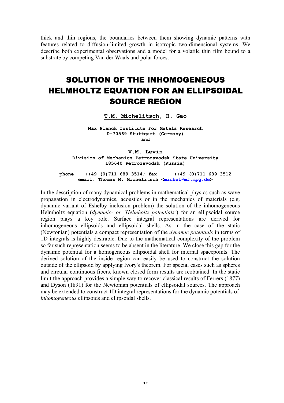thick and thin regions, the boundaries between them showing dynamic patterns with features related to diffusion-limited growth in isotropic two-dimensional systems. We describe both experimental observations and a model for a volatile thin film bound to a substrate by competing Van der Waals and polar forces.

## SOLUTION OF THE INHOMOGENEOUS HELMHOLTZ EQUATION FOR AN ELLIPSOIDAL SOURCE REGION

### **T.M. Michelitsch, H. Gao**

**Max Planck Institute For Metals Research D-70569 Stuttgart (Germany) and** 

**V.M. Levin Division of Mechanics Petrozavodsk State University 185640 Petrozavodsk (Russia)** 

**phone ++49 (0)711 689-3514; fax ++49 (0)711 689-3512 email: Thomas M. Michelitsch <michel@mf.mpg.de>**

In the description of many dynamical problems in mathematical physics such as wave propagation in electrodynamics, acoustics or in the mechanics of materials (e.g. dynamic variant of Eshelby inclusion problem) the solution of the inhomogeneous Helmholtz equation (*dynamic- or 'Helmholtz potentials'*) for an ellipsoidal source region plays a key role. Surface integral representations are derived for inhomogeneous ellipsoids and ellipsoidal shells. As in the case of the static (Newtonian) potentials a compact representation of the *dynamic potentials* in terms of 1D integrals is highly desirable. Due to the mathematical complexity of the problem so far such representation seems to be absent in the literature. We close this gap for the dynamic potential for a homogeneous ellipsoidal shell for internal spacepoints. The derived solution of the inside region can easily be used to construct the solution outside of the ellipsoid by applying Ivory's theorem. For special cases such as spheres and circular continuous fibers, known closed form results are reobtained. In the static limit the approach provides a simple way to recover classical results of Ferrers (1877) and Dyson (1891) for the Newtonian potentials of ellipsoidal sources. The approach may be extended to construct 1D integral representations for the dynamic potentials of *inhomogeneous* ellipsoids and ellipsoidal shells.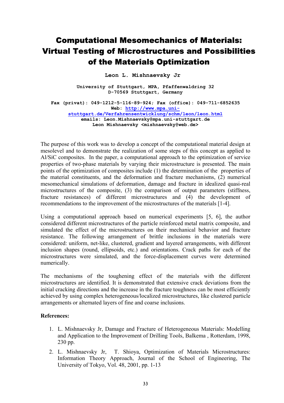## Computational Mesomechanics of Materials: Virtual Testing of Microstructures and Possibilities of the Materials Optimization

**Leon L. Mishnaevsky Jr** 

**University of Stuttgart, MPA, Pfaffenwaldring 32 D-70569 Stuttgart, Germany** 

**Fax (privat): 049-1212-5-116-89-924; Fax (office): 049-711-6852635 Web: http://www.mpa.unistuttgart.de/Verfahrensentwicklung/schm/leon/leon.html emails: Leon.Mishnaevsky@mpa.uni-stuttgart.de Leon Mishnaevsky <mishnaevsky@web.de>** 

The purpose of this work was to develop a concept of the computational material design at mesolevel and to demonstrate the realization of some steps of this concept as applied to Al/SiC composites. In the paper, a computational approach to the optimization of service properties of two-phase materials by varying their microstructure is presented. The main points of the optimization of composites include (1) the determination of the properties of the material constituents, and the deformation and fracture mechanisms, (2) numerical mesomechanical simulations of deformation, damage and fracture in idealized quasi-real microstructures of the composite, (3) the comparison of output parameters (stiffness, fracture resistances) of different microstructures and (4) the development of recommendations to the improvement of the microstructures of the materials [1-4].

Using a computational approach based on numerical experiments [5, 6], the author considered different microstructures of the particle reinforced metal matrix composite, and simulated the effect of the microstructures on their mechanical behavior and fracture resistance. The following arrangement of brittle inclusions in the materials were considered: uniform, net-like, clustered, gradient and layered arrangements, with different inclusion shapes (round, ellipsoids, etc.) and orientations. Crack paths for each of the microstructures were simulated, and the force-displacement curves were determined numerically.

The mechanisms of the toughening effect of the materials with the different microstructures are identified. It is demonstrated that extensive crack deviations from the initial cracking directions and the increase in the fracture toughness can be most efficiently achieved by using complex heterogeneous/localized microstructures, like clustered particle arrangements or alternated layers of fine and coarse inclusions.

### **References:**

- 1. L. Mishnaevsky Jr, Damage and Fracture of Heterogeneous Materials: Modelling and Application to the Improvement of Drilling Tools, Balkema , Rotterdam, 1998, 230 pp.
- 2. L. Mishnaevsky Jr, T. Shioya, Optimization of Materials Microstructures: Information Theory Approach, Journal of the School of Engineering, The University of Tokyo, Vol. 48, 2001, pp. 1-13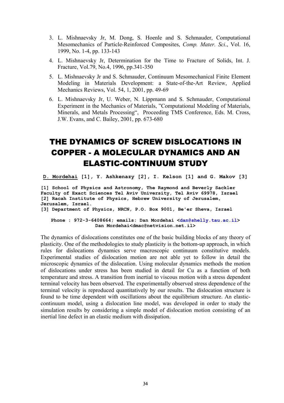- 3. L. Mishnaevsky Jr, M. Dong, S. Hoenle and S. Schmauder, Computational Mesomechanics of Particle-Reinforced Composites, *Comp. Mater. Sci*., Vol. 16, 1999, No. 1-4, pp. 133-143
- 4. L. Mishnaevsky Jr, Determination for the Time to Fracture of Solids, Int. J. Fracture, Vol.79, No.4, 1996, pp.341-350
- 5. L. Mishnaevsky Jr and S. Schmauder, Continuum Mesomechanical Finite Element Modeling in Materials Development: a State-of-the-Art Review, Applied Mechanics Reviews, Vol. 54, 1, 2001, pp. 49-69
- 6. L. Mishnaevsky Jr, U. Weber, N. Lippmann and S. Schmauder, Computational Experiment in the Mechanics of Materials, "Computational Modeling of Materials, Minerals, and Metals Processing", Proceeding TMS Conference, Eds. M. Cross, J.W. Evans, and C. Bailey, 2001, pp. 673-680

## THE DYNAMICS OF SCREW DISLOCATIONS IN COPPER - A MOLECULAR DYNAMICS AND AN ELASTIC-CONTINUUM STUDY

**D. Mordehai [1], Y. Ashkenazy [2], I. Kelson [1] and G. Makov [3]** 

**[1] School of Physics and Astronomy, The Raymond and Beverly Sackler Faculty of Exact Sciences Tel Aviv University, Tel Aviv 69978, Israel [2] Racah Institute of Physics, Hebrew University of Jerusalem, Jerusalem, Israel.** 

**[3] Department of Physics, NRCN, P.O. Box 9001, Be'er Sheva, Israel** 

**Phone : 972-3-6408664; emails: Dan Mordehai <dan@shelly.tau.ac.il> Dan Mordehai<dmac@netvision.net.il>** 

The dynamics of dislocations constitutes one of the basic building blocks of any theory of plasticity. One of the methodologies to study plasticity is the bottom-up approach, in which rules for dislocations dynamics serve macroscopic continuum constitutive models. Experimental studies of dislocation motion are not able yet to follow in detail the microscopic dynamics of the dislocation. Using molecular dynamics methods the motion of dislocations under stress has been studied in detail for Cu as a function of both temperature and stress. A transition from inertial to viscous motion with a stress dependent terminal velocity has been observed. The experimentally observed stress dependence of the terminal velocity is reproduced quantitatively by our results. The dislocation structure is found to be time dependent with oscillations about the equilibrium structure. An elasticcontinuum model, using a dislocation line model, was developed in order to study the simulation results by considering a simple model of dislocation motion consisting of an inertial line defect in an elastic medium with dissipation.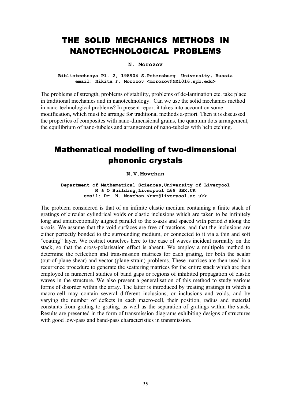## THE SOLID MECHANICS METHODS IN NANOTECHNOLOGICAL PROBLEMS

### **N. Morozov**

#### **Bibliotechnaya Pl. 2, 198904 S.Petersburg University, Russia email: Nikita F. Morozov <morozov@NM1016.spb.edu>**

The problems of strength, problems of stability, problems of de-lamination etc. take place in traditional mechanics and in nanotechnology. Can we use the solid mechanics method in nano-technological problems? In present report it takes into account on some modification, which must be arrange for traditional methods a-priori. Then it is discussed the properties of composites with nano-dimensional grains, the quantum dots arrangement, the equilibrium of nano-tubeles and arrangement of nano-tubeles with help etching.

## Mathematical modelling of two-dimensional phononic crystals

#### **N.V.Movchan**

**Department of Mathematical Sciences,University of Liverpool M & O Building,Liverpool L69 3BX,UK email: Dr. N. Movchan <nvm@liverpool.ac.uk>** 

The problem considered is that of an infinite elastic medium containing a finite stack of gratings of circular cylindrical voids or elastic inclusions which are taken to be infinitely long and unidirectionally aligned parallel to the z-axis and spaced with period *d* along the x-axis. We assume that the void surfaces are free of tractions, and that the inclusions are either perfectly bonded to the surrounding medium, or connected to it via a thin and soft "coating" layer. We restrict ourselves here to the case of waves incident normally on the stack, so that the cross-polarisation effect is absent. We employ a multipole method to determine the reflection and transmission matrices for each grating, for both the scalar (out-of-plane shear) and vector (plane-strain) problems. These matrices are then used in a recurrence procedure to generate the scattering matrices for the entire stack which are then employed in numerical studies of band gaps or regions of inhibited propagation of elastic waves in the structure. We also present a generalisation of this method to study various forms of disorder within the array. The latter is introduced by treating gratings in which a macro-cell may contain several different inclusions, or inclusions and voids, and by varying the number of defects in each macro-cell, their position, radius and material constants from grating to grating, as well as the separation of gratings within the stack. Results are presented in the form of transmission diagrams exhibiting designs of structures with good low-pass and band-pass characteristics in transmission.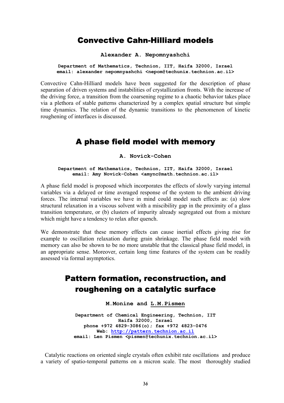### Convective Cahn-Hilliard models

**Alexander A. Nepomnyashchi** 

**Department of Mathematics, Technion, IIT, Haifa 32000, Israel email: alexander nepomnyashchi <nepom@techunix.technion.ac.il>** 

Convective Cahn-Hilliard models have been suggested for the description of phase separation of driven systems and instabilities of crystallization fronts. With the increase of the driving force, a transition from the coarsening regime to a chaotic behavior takes place via a plethora of stable patterns characterized by a complex spatial structure but simple time dynamics. The relation of the dynamic transitions to the phenomenon of kinetic roughening of interfaces is discussed.

### A phase field model with memory

**A. Novick-Cohen** 

**Department of Mathematics, Technion, IIT, Haifa 32000, Israel email: Amy Novick-Cohen <amync@math.technion.ac.il>**

A phase field model is proposed which incorporates the effects of slowly varying internal variables via a delayed or time averaged response of the system to the ambient driving forces. The internal variables we have in mind could model such effects as: (a) slow structural relaxation in a viscous solvent with a miscibility gap in the proximity of a glass transition temperature, or (b) clusters of impurity already segregated out from a mixture which might have a tendency to relax after quench.

We demonstrate that these memory effects can cause inertial effects giving rise for example to oscillation relaxation during grain shrinkage. The phase field model with memory can also be shown to be no more unstable that the classical phase field model, in an appropriate sense. Moreover, certain long time features of the system can be readily assessed via formal asymptotics.

## Pattern formation, reconstruction, and roughening on a catalytic surface

**M.Monine and L.M.Pismen**

**Department of Chemical Engineering, Technion, IIT Haifa 32000, Israel phone +972 4829-3086(o); fax +972 4823-0476 Web: http://pattern.technion.ac.il email: Len Pismen <pismen@techunix.technion.ac.il>** 

 Catalytic reactions on oriented single crystals often exhibit rate oscillations and produce a variety of spatio-temporal patterns on a micron scale. The most thoroughly studied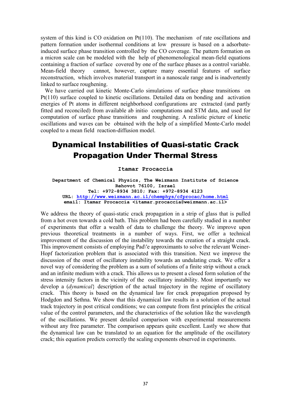system of this kind is CO oxidation on Pt(110). The mechanism of rate oscillations and pattern formation under isothermal conditions at low pressure is based on a adsorbateinduced surface phase transition controlled by the CO coverage. The pattern formation on a micron scale can be modeled with the help of phenomenological mean-field equations containing a fraction of surface covered by one of the surface phases as a control variable. Mean-field theory cannot, however, capture many essential features of surface reconstruction, which involves material transport in a nanoscale range and is inadvertently linked to surface roughening.

 We have carried out kinetic Monte-Carlo simulations of surface phase transitions on Pt(110) surface coupled to kinetic oscillations. Detailed data on bonding and activation energies of Pt atoms in different neighborhood configurations are extracted (and partly fitted and reconciled) from available ab initio computations and STM data, and used for computation of surface phase transitions and roughening. A realistic picture of kinetic oscillations and waves can be obtained with the help of a simplified Monte-Carlo model coupled to a mean field reaction-diffusion model.

## Dynamical Instabilities of Quasi-static Crack Propagation Under Thermal Stress

**Itamar Procaccia** 

**Department of Chemical Physics, The Weizmann Institute of Science Rehovot 76100, Israel Tel: +972-8934 3810; Fax: +972-8934 4123 URL: http://www.weizmann.ac.il/chemphys/cfprocac/home.html email: Itamar Procaccia <itamar.procaccia@weizmann.ac.il>** 

We address the theory of quasi-static crack propagation in a strip of glass that is pulled from a hot oven towards a cold bath. This problem had been carefully studied in a number of experiments that offer a wealth of data to challenge the theory. We improve upon previous theoretical treatments in a number of ways. First, we offer a technical improvement of the discussion of the instability towards the creation of a straight crack. This improvement consists of employing Pad\'e approximants to solve the relevant Weiner-Hopf factorization problem that is associated with this transition. Next we improve the discussion of the onset of oscillatory instability towards an undulating crack. We offer a novel way of considering the problem as a sum of solutions of a finite strip without a crack and an infinite medium with a crack. This allows us to present a closed form solution of the stress intensity factors in the vicinity of the oscillatory instability. Most importantly we develop a (*dynamical*} description of the actual trajectory in the regime of oscillatory crack. This theory is based on the dynamical law for crack propagation proposed by Hodgdon and Sethna. We show that this dynamical law results in a solution of the actual track trajectory in post critical conditions; we can compute from first principles the critical value of the control parameters, and the characteristics of the solution like the wavelength of the oscillations. We present detailed comparison with experimental measurements without any free parameter. The comparison appears quite excellent. Lastly we show that the dynamical law can be translated to an equation for the amplitude of the oscillatory crack; this equation predicts correctly the scaling exponents observed in experiments.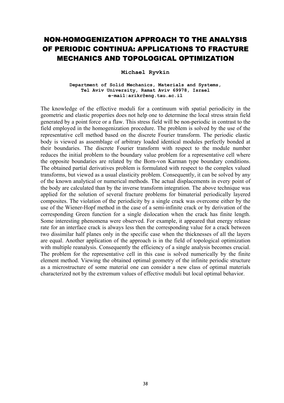### NON-HOMOGENIZATION APPROACH TO THE ANALYSIS OF PERIODIC CONTINUA: APPLICATIONS TO FRACTURE MECHANICS AND TOPOLOGICAL OPTIMIZATION

**Michael Ryvkin** 

**Department of Solid Mechanics, Materials and Systems, Tel Aviv University, Ramat Aviv 69978, Israel e-mail:arikr@eng.tau.ac.il** 

The knowledge of the effective moduli for a continuum with spatial periodicity in the geometric and elastic properties does not help one to determine the local stress strain field generated by a point force or a flaw. This stress field will be non-periodic in contrast to the field employed in the homogenization procedure. The problem is solved by the use of the representative cell method based on the discrete Fourier transform. The periodic elastic body is viewed as assemblage of arbitrary loaded identical modules perfectly bonded at their boundaries. The discrete Fourier transform with respect to the module number reduces the initial problem to the boundary value problem for a representative cell where the opposite boundaries are related by the Born-von Karman type boundary conditions. The obtained partial derivatives problem is formulated with respect to the complex valued transforms, but viewed as a usual elasticity problem. Consequently, it can be solved by any of the known analytical or numerical methods. The actual displacements in every point of the body are calculated than by the inverse transform integration. The above technique was applied for the solution of several fracture problems for bimaterial periodically layered composites. The violation of the periodicity by a single crack was overcome either by the use of the Wiener-Hopf method in the case of a semi-infinite crack or by derivation of the corresponding Green function for a single dislocation when the crack has finite length. Some interesting phenomena were observed. For example, it appeared that energy release rate for an interface crack is always less then the corresponding value for a crack between two dissimilar half planes only in the specific case when the thicknesses of all the layers are equal. Another application of the approach is in the field of topological optimization with multiple reanalysis. Consequently the efficiency of a single analysis becomes crucial. The problem for the representative cell in this case is solved numerically by the finite element method. Viewing the obtained optimal geometry of the infinite periodic structure as a microstructure of some material one can consider a new class of optimal materials characterized not by the extremum values of effective moduli but local optimal behavior.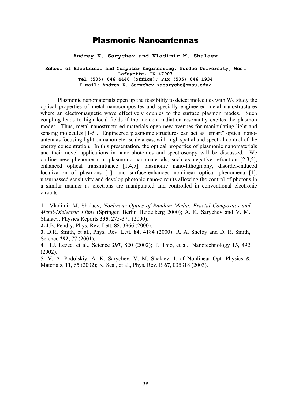### Plasmonic Nanoantennas

### **Andrey K. Sarychev and Vladimir M. Shalaev**

**School of Electrical and Computer Engineering, Purdue University, West Lafayette, IN 47907 Tel (505) 646 4446 (office); Fax (505) 646 1934 E-mail: Andrey K. Sarychev <asaryche@nmsu.edu>** 

Plasmonic nanomaterials open up the feasibility to detect molecules with We study the optical properties of metal nanocomposites and specially engineered metal nanostructures where an electromagnetic wave effectively couples to the surface plasmon modes. Such coupling leads to high local fields if the incident radiation resonantly excites the plasmon modes. Thus, metal nanostructured materials open new avenues for manipulating light and sensing molecules [1-5]. Engineered plasmonic structures can act as "smart" optical nanoantennas focusing light on nanometer scale areas, with high spatial and spectral control of the energy concentration. In this presentation, the optical properties of plasmonic nanomaterials and their novel applications in nano-photonics and spectroscopy will be discussed. We outline new phenomena in plasmonic nanomaterials, such as negative refraction [2,3,5], enhanced optical transmittance [1,4,5], plasmonic nano-lithography, disorder-induced localization of plasmons [1], and surface-enhanced nonlinear optical phenomena [1]. unsurpassed sensitivity and develop photonic nano-circuits allowing the control of photons in a similar manner as electrons are manipulated and controlled in conventional electronic circuits.

**1.** Vladimir M. Shalaev, *Nonlinear Optics of Random Media: Fractal Composites and Metal-Dielectric Films* (Springer, Berlin Heidelberg 2000); A. K. Sarychev and V. M. Shalaev, Physics Reports **335**, 275-371 (2000).

**2.** J.B. Pendry, Phys. Rev. Lett. **85**, 3966 (2000).

**3.** D.R. Smith, et al., Phys. Rev. Lett. **84**, 4184 (2000); R. A. Shelby and D. R. Smith, Science **292**, 77 (2001).

**4**. H.J. Lezec, et al., Science **297**, 820 (2002); T. Thio, et al., Nanotechnology **13**, 492 (2002).

**5.** V. A. Podolskiy, A. K. Sarychev, V. M. Shalaev, J. of Nonlinear Opt. Physics & Materials, **11**, 65 (2002); K. Seal, et al., Phys. Rev. B **67**, 035318 (2003).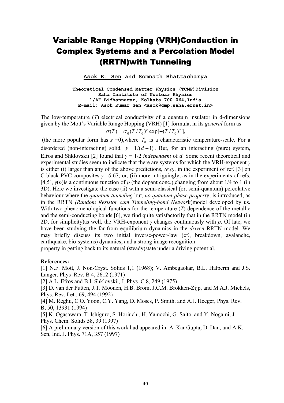## Variable Range Hopping (VRH)Conduction in Complex Systems and a Percolation Model (RRTN)with Tunneling

**Asok K. Sen and Somnath Bhattacharya** 

**Theoretical Condensed Matter Physics (TCMP)Division Saha Institute of Nuclear Physics 1/AF Bidhannagar, Kolkata 700 064,India E-mail: Asok Kumar Sen <asok@cmp.saha.ernet.in>** 

The low-temperature (*T*) electrical conductivity of a quantum insulator in d-dimensions given by the Mott's Variable Range Hopping (VRH) [1] formula, in its *general* form as:

$$
\sigma(T) = \sigma_0 (T/T_0)^s \exp[-(T/T_0)^s],
$$

(the more popular form has  $s = 0$ ), where  $T_0$  is a characteristic temperature-scale. For a disordered (non-interacting) solid,  $\gamma = 1/(d+1)$ . But, for an interacting (pure) system, Efros and Shklovskii [2] found that *γ* = 1/2 *independent* of *d*. Some recent theoretical and experimental studies seem to indicate that there are systems for which the VRH-exponent *γ* is either (i) larger than any of the above predictions, *(e.g*., in the experiment of ref. [3] on C-black-PVC composites *γ* =*0*:67; or, (ii) more intriguingly, as in the experiments of refs. [4,5], *γ*(*p*)is a continuous function of *p* (the dopant conc.),changing from about 1/4 to 1 (in 3D). Here we investigate the case (ii) with a semi-classical (or, semi-quantum) percolative behaviour where the *quantum tunneling* but, *no quantum-phase propert*y, is introduced; as in the RRTN *(Random Resistor cum Tunneling-bond Networ*k)model developed by us. With two phenomenological functions for the temperature (*T*)-dependence of the metallic and the semi-conducting bonds [6], we find quite satisfactorily that in the RRTN model (in 2D, for simplicity)as well, the VRH-exponent *γ* changes continuously with *p*. Of late, we have been studying the far-from equilibrium dynamics in the *driven* RRTN model. We may briefly discuss its two initial inverse-power-law (cf., breakdown, avalanche, earthquake, bio-systems) dynamics, and a strong image recognition

property in getting back to its natural (steady)state under a driving potential.

### **References:**

[1] N.F. Mott, J. Non-Cryst. Solids 1,1 (1968); V. Ambegaokar, B.L. Halperin and J.S. Langer, Phys .Rev. B 4, 2612 (1971)

[2] A.L. Efros and B.I. Shklovskii, J. Phys. C 8, 249 (1975)

[3] D. van der Putten, J.T. Moonen, H.B. Brom, J.C.M. Brokken-Zijp, and M.A.J. Michels, Phys. Rev. Lett. 69, 494 (1992)

[4] M. Reghu, C.O. Yoon, C.Y. Yang, D. Moses, P. Smith, and A.J. Heeger, Phys. Rev. B, 50, 13931 (1994)

[5] K. Ogasawara, T. Ishiguro, S. Horiuchi, H. Yamochi, G. Saito, and Y. Nogami, J. Phys. Chem. Solids 58, 39 (1997)

[6] A preliminary version of this work had appeared in: A. Kar Gupta, D. Dan, and A.K. Sen, Ind. J. Phys. 71A, 357 (1997)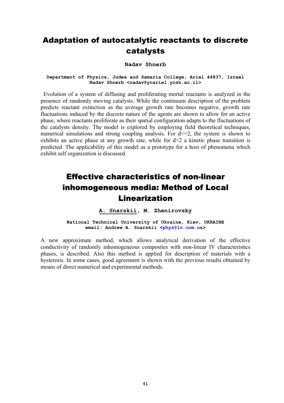## Adaptation of autocatalytic reactants to discrete catalysts

### **Nadav Shnerb**

#### **Department of Physics, Judea and Samaria College, Ariel 44837, Israel**  Nadav Shnerb <nadav@ycariel.yosh.ac.il>

 Evolution of a system of diffusing and proliferating mortal reactants is analyzed in the presence of randomly moving catalysts. While the continuum description of the problem predicts reactant extinction as the average growth rate becomes negative, growth rate fluctuations induced by the discrete nature of the agents are shown to allow for an active phase, where reactants proliferate as their spatial configuration adapts to the fluctuations of the catalysts density. The model is explored by employing field theoretical techniques, numerical simulations and strong coupling analysis. For  $d \le 2$ , the system is shown to exhibits an active phase at any growth rate, while for  $d > 2$  a kinetic phase transition is predicted. The applicability of this model as a prototype for a host of phenomena which exhibit self organization is discussed.

## Effective characteristics of non-linear inhomogeneous media: Method of Local Linearization

**A. Snarskii, M. Zhenirovsky** 

**National Technical University of Ukraine, Kiev, UKRAINE**  email: Andrew A. Snarskii <phys@ln.com.ua>

A new approximate method, which allows analytical derivation of the effective conductivity of randomly inhomogeneous composites with non-linear IV characteristics phases, is described. Also this method is applied for description of materials with a hysteresis. In some cases, good agreement is shown with the previous results obtained by means of direct numerical and experimental methods.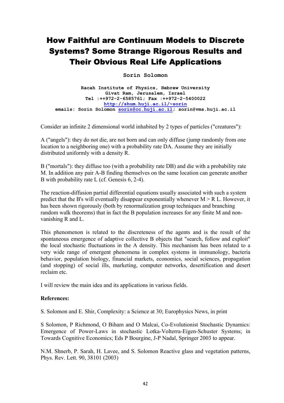## How Faithful are Continuum Models to Discrete Systems? Some Strange Rigorous Results and Their Obvious Real Life Applications

**Sorin Solomon** 

**Racah Institute of Physics, Hebrew University Givat Ram, Jerusalem, Israel Tel :++972-2-6585761; Fax :++972-2-5400022 http://shum.huji.ac.il/~sorin emails: Sorin Solomon sorin@cc.huji.ac.il; sorin@vms.huji.ac.il** 

Consider an infinite 2 dimensional world inhabited by 2 types of particles ("creatures"):

A ("angels"): they do not die, are not born and can only diffuse (jump randomly from one location to a neighboring one) with a probability rate DA. Assume they are initially distributed uniformly with a density R.

B ("mortals"): they diffuse too (with a probability rate DB) and die with a probability rate M. In addition any pair A-B finding themselves on the same location can generate another B with probability rate L (cf. Genesis 6, 2-4).

The reaction-diffusion partial differential equations usually associated with such a system predict that the B's will eventually disappear exponentially whenever  $M > R L$ . However, it has been shown rigorously (both by renormalization group techniques and branching random walk theorems) that in fact the B population increases for any finite M and nonvanishing R and L.

This phenomenon is related to the discreteness of the agents and is the result of the spontaneous emergence of adaptive collective B objects that "search, follow and exploit" the local stochastic fluctuations in the A density. This mechanism has been related to a very wide range of emergent phenomena in complex systems in immunology, bacteria behavior, population biology, financial markets, economics, social sciences, propagation (and stopping) of social ills, marketing, computer networks, desertification and desert reclaim etc.

I will review the main idea and its applications in various fields.

### **References:**

S. Solomon and E. Shir, Complexity: a Science at 30; Europhysics News, in print

S Solomon, P Richmond, O Biham and O Malcai, Co-Evolutionist Stochastic Dynamics: Emergence of Power-Laws in stochastic Lotka-Volterra-Eigen-Schuster Systems; in Towards Cognitive Economics; Eds P Bourgine, J-P Nadal, Springer 2003 to appear.

N.M. Shnerb, P. Sarah, H. Lavee, and S. Solomon Reactive glass and vegetation patterns, Phys. Rev. Lett. 90, 38101 (2003)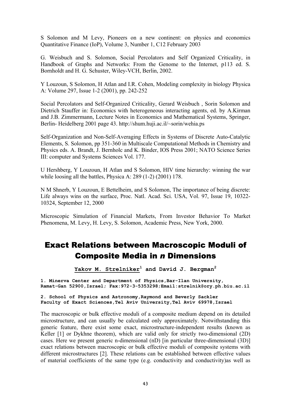S Solomon and M Levy, Pioneers on a new continent: on physics and economics Quantitative Finance (IoP), Volume 3, Number 1, C12 February 2003

G. Weisbuch and S. Solomon, Social Percolators and Self Organized Criticality, in Handbook of Graphs and Networks: From the Genome to the Internet, p113 ed. S. Bornholdt and H. G. Schuster, Wiley-VCH, Berlin, 2002.

Y Louzoun, S Solomon, H Atlan and I.R. Cohen, Modeling complexity in biology Physica A: Volume 297, Issue 1-2 (2001), pp. 242-252

Social Percolators and Self-Organized Criticality, Gerard Weisbuch , Sorin Solomon and Dietrich Stauffer in: Economics with heterogeneous interacting agents, ed. by A.Kirman and J.B. Zimmermann, Lecture Notes in Economics and Mathematical Systems, Springer, Berlin- Heidelberg 2001 page 43. http://shum.huji.ac.il/~sorin/wehia.ps

Self-Organization and Non-Self-Averaging Effects in Systems of Discrete Auto-Catalytic Elements, S. Solomon, pp 351-360 in Multiscale Computational Methods in Chemistry and Physics eds. A. Brandt, J. Bernholc and K. Binder, IOS Press 2001; NATO Science Series III: computer and Systems Sciences Vol. 177.

U Hershberg, Y Louzoun, H Atlan and S Solomon, HIV time hierarchy: winning the war while loosing all the battles, Physica A: 289 (1-2) (2001) 178.

N M Shnerb, Y Louzoun, E Bettelheim, and S Solomon, The importance of being discrete: Life always wins on the surface, Proc. Natl. Acad. Sci. USA, Vol. 97, Issue 19, 10322- 10324, September 12, 2000

Microscopic Simulation of Financial Markets, From Investor Behavior To Market Phenomena, M. Levy, H. Levy, S. Solomon, Academic Press, New York, 2000.

## Exact Relations between Macroscopic Moduli of Composite Media in *n* Dimensions

**Yakov M. Strelniker<sup>1</sup> and David J. Bergman<sup>2</sup>**

**1. Minerva Center and Department of Physics,Bar-Ilan University, Ramat-Gan 52900,Israel; Fax:972-3-5353298;Email:strelnik@ory.ph.biu.ac.il**

**2. School of Physics and Astronomy,Raymond and Beverly Sackler Faculty of Exact Sciences,Tel Aviv University,Tel Aviv 69978,Israel** 

The macroscopic or bulk effective moduli of a composite medium depend on its detailed microstructure, and can usually be calculated only approximately. Notwithstanding this generic feature, there exist some exact, microstructure-independent results (known as Keller [1] or Dykhne theorem), which are valid only for strictly two-dimensional (2D) cases. Here we present generic n-dimensional (nD) [in particular three-dimensional (3D)] exact relations between macroscopic or bulk effective moduli of composite systems with different microstructures [2]. These relations can be established between effective values of material coefficients of the same type (e.g. conductivity and conductivity)as well as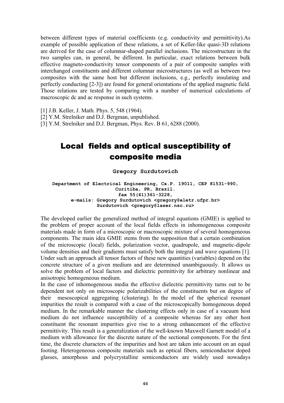between different types of material coefficients (e.g. conductivity and permittivity).As example of possible application of these relations, a set of Keller-like quasi-3D relations are derived for the case of columnar-shaped parallel inclusions. The microstructure in the two samples can, in general, be different. In particular, exact relations between bulk effective magneto-conductivity tensor components of a pair of composite samples with interchanged constituents and different columnar microstructures (as well as between two composites with the same host but different inclusions, e.g., perfectly insulating and perfectly conducting [2-3]) are found for general orientations of the applied magnetic field. Those relations are tested by comparing with a number of numerical calculations of macroscopic dc and ac response in such systems.

[1] J.B. Keller, J. Math. Phys. 5, 548 (1964).

[2] Y.M. Strelniker and D.J. Bergman, unpublished.

[3] Y.M. Strelniker and D.J. Bergman, Phys. Rev. B 61, 6288 (2000).

## Local fields and optical susceptibility of composite media

**Gregory Surdutovich** 

**Department of Electrical Engineering, Cx.P. 19011, CEP 81531-990, Curitiba, PR, Brazil. fax 55(41)361-3228, e-mails: Gregory Surdutovich <gregory@eletr.ufpr.br> Surdutovich <gregory@laser.nsc.ru>** 

The developed earlier the generalized method of integral equations (GMIE) is applied to the problem of proper account of the local fields effects in inhomogeneous composite materials made in form of a microscopic or macroscopic mixture of several homogeneous components. The main idea GMIE stems from the supposition that a certain combination of the microscopic (local) fields, polarization vector, quadrupole, and magnetic-dipole volume densities and their gradients must satisfy both the integral and wave equations [1]. Under such an approach all tensor factors of these new quantities (variables) depend on the concrete structure of a given medium and are determined unambiguously. It allows us solve the problem of local factors and dielectric permittivity for arbitrary nonlinear and anisotropic homogeneous medium.

In the case of inhomogeneous media the effective dielectric permittivity turns out to be dependent not only on microscopic polarizabilities of the constituents but on degree of their mesoscopical aggregating (clustering). In the model of the spherical resonant impurities the result is compared with a case of the microscopically homogeneous doped medium. In the remarkable manner the clustering effects only in case of a vacuum host medium do not influence susceptibility of a composite whereas for any other host constituent the resonant impurities give rise to a strong enhancement of the effective permittivity. This result is a generalization of the well-known Maxwell Garnett model of a medium with allowance for the discrete nature of the sectional components. For the first time, the discrete characters of the impurities and host are taken into account on an equal footing. Heterogeneous composite materials such as optical fibers, semiconductor doped glasses, amorphous and polycrystalline semiconductors are widely used nowadays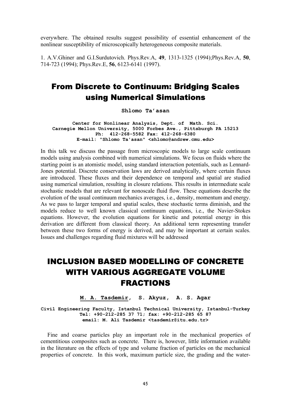everywhere. The obtained results suggest possibility of essential enhancement of the nonlinear susceptibility of microscopically heterogeneous composite materials.

1. A.V.Ghiner and G.I.Surdutovich. Phys.Rev.A, **49**, 1313-1325 (1994);Phys.Rev.A, **50**, 714-723 (1994); Phys.Rev.E, **56**, 6123-6141 (1997).

## From Discrete to Continuum: Bridging Scales using Numerical Simulations

**Shlomo Ta'asan** 

**Center for Nonlinear Analysis, Dept. of Math. Sci. Carnegie Mellon University, 5000 Forbes Ave., Pittsburgh PA 15213 Ph: 412-268-5582 Fax: 412-268-6380 E-mail: "Shlomo Ta'asan" <shlomo@andrew.cmu.edu>** 

In this talk we discuss the passage from microscopic models to large scale continuum models using analysis combined with numerical simulations. We focus on fluids where the starting point is an atomistic model, using standard interaction potentials, such as Lennard-Jones potential. Discrete conservation laws are derived analytically, where certain fluxes are introduced. These fluxes and their dependence on temporal and spatial are studied using numerical simulation, resulting in closure relations. This results in intermediate scale stochastic models that are relevant for nonoscale fluid flow. These equations describe the evolution of the usual continuum mechanics averages, i.e., density, momentum and energy. As we pass to larger temporal and spatial scales, these stochastic terms diminish, and the models reduce to well known classical continuum equations, i.e., the Navier-Stokes equations. However, the evolution equations for kinetic and potential energy in this derivation are different from classical theory. An additional term representing transfer between these two forms of energy is derived, and may be important at certain scales. Issues and challenges regarding fluid mixtures will be addressed

## INCLUSION BASED MODELLING OF CONCRETE WITH VARIOUS AGGREGATE VOLUME FRACTIONS

**M. A. Tasdemir, S. Akyuz, A. S. Agar**

**Civil Engineering Faculty, Istanbul Technical University, Istanbul-Turkey Tel: +90-212-285 37 71; fax: +90-212-285 65 87 email: M. Ali Tasdemir <tasdemir@itu.edu.tr>** 

Fine and coarse particles play an important role in the mechanical properties of cementitious composites such as concrete. There is, however, little information available in the literature on the effects of type and volume fraction of particles on the mechanical properties of concrete. In this work, maximum particle size, the grading and the water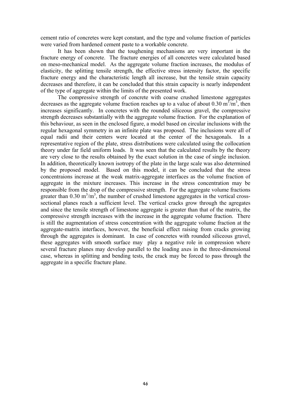cement ratio of concretes were kept constant, and the type and volume fraction of particles were varied from hardened cement paste to a workable concrete.

 It has been shown that the toughening mechanisms are very important in the fracture energy of concrete. The fracture energies of all concretes were calculated based on meso-mechanical model. As the aggregate volume fraction increases, the modulus of elasticity, the splitting tensile strength, the effective stress intensity factor, the specific fracture energy and the characteristic length all increase, but the tensile strain capacity decreases and therefore, it can be concluded that this strain capacity is nearly independent of the type of aggregate within the limits of the presented work.

 The compressive strength of concrete with coarse crushed limestone aggregates decreases as the aggregate volume fraction reaches up to a value of about 0.30 m<sup>3</sup>/m<sup>3</sup>, then increases significantly. In concretes with the rounded siliceous gravel, the compressive strength decreases substantially with the aggregate volume fraction. For the explanation of this behaviour, as seen in the enclosed figure, a model based on circular inclusions with the regular hexagonal symmetry in an infinite plate was proposed. The inclusions were all of equal radii and their centers were located at the center of the hexagonals. In a representative region of the plate, stress distributions were calculated using the collocation theory under far field uniform loads. It was seen that the calculated results by the theory are very close to the results obtained by the exact solution in the case of single inclusion. In addition, theoretically known isotropy of the plate in the large scale was also determined by the proposed model. Based on this model, it can be concluded that the stress concentraions increase at the weak matrix-aggregate interfaces as the volume fraction of aggregate in the mixture increases. This increase in the stress concentration may be responsible from the drop of the compressive strength. For the aggregate volume fractions greater than  $0.30 \text{ m}^3/\text{m}^3$ , the number of crushed limestone aggregates in the vertical crosssectional planes reach a sufficient level. The vertical cracks grow through the agregates and since the tensile strength of limestone aggregate is greater than that of the matrix, the compressive strength increases with the increase in the aggregate volume fraction. There is still the augmentation of stress concentration with the aggregate volume fraction at the aggregate-matrix interfaces, however, the beneficial effect raising from cracks growing through the aggregates is dominant. In case of concretes with rounded siliceous gravel, these aggregates with smooth surface may play a negative role in compression where several fracture planes may develop parallel to the loading axes in the three-dimensional case, whereas in splitting and bending tests, the crack may be forced to pass through the aggregate in a specific fracture plane.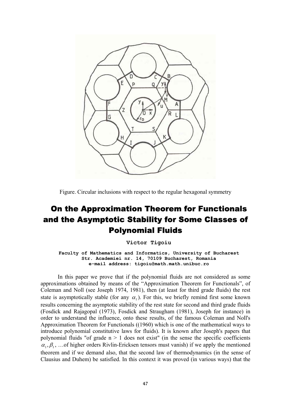

Figure. Circular inclusions with respect to the regular hexagonal symmetry

## On the Approximation Theorem for Functionals and the Asymptotic Stability for Some Classes of Polynomial Fluids

#### **Victor Tigoiu**

**Faculty of Mathematics and Informatics, University of Bucharest Str. Academiei nr. 14, 70109 Bucharest, Romania e-mail address: tigoiu@math.math.unibuc.ro** 

 In this paper we prove that if the polynomial fluids are not considered as some approximations obtained by means of the "Approximation Theorem for Functionals", of Coleman and Noll (see Joseph 1974, 1981), then (at least for third grade fluids) the rest state is asymptotically stable (for any  $\alpha_1$ ). For this, we briefly remind first some known results concerning the asymptotic stability of the rest state for second and third grade fluids (Fosdick and Rajagopal (1973), Fosdick and Straugham (1981), Joseph for instance) in order to understand the influence, onto these results, of the famous Coleman and Noll's Approximation Theorem for Functionals ((1960) which is one of the mathematical ways to introduce polynomial constitutive laws for fluids). It is known after Joseph's papers that polynomial fluids "of grade  $n > 1$  does not exist" (in the sense the specific coefficients  $\alpha_1, \beta_1, \ldots$  of higher orders Rivlin-Ericksen tensors must vanish) if we apply the mentioned theorem and if we demand also, that the second law of thermodynamics (in the sense of Clausius and Duhem) be satisfied. In this context it was proved (in various ways) that the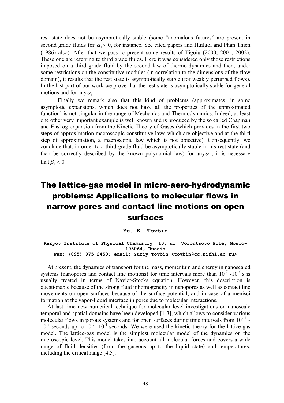rest state does not be asymptotically stable (some "anomalous futures" are present in second grade fluids for  $\alpha_1 < 0$ , for instance. See cited papers and Huilgol and Phan Thien (1986) also). After that we pass to present some results of Tigoiu (2000, 2001, 2002). These one are referring to third grade fluids. Here it was considered only those restrictions imposed on a third grade fluid by the second law of thermo-dynamics and then, under some restrictions on the constitutive modules (in correlation to the dimensions of the flow domain), it results that the rest state is asymptotically stable (for weakly perturbed flows). In the last part of our work we prove that the rest state is asymptotically stable for general motions and for any  $\alpha_1$ .

Finally we remark also that this kind of problems (approximates, in some asymptotic expansions, which does not have all the properties of the approximated function) is not singular in the range of Mechanics and Thermodynamics. Indeed, at least one other very important example is well known and is produced by the so called Chapman and Enskog expansion from the Kinetic Theory of Gases (which provides in the first two steps of approximation macroscopic constitutive laws which are objective and at the third step of approximation, a macroscopic law which is not objective). Consequently, we conclude that, in order to a third grade fluid be asymptotically stable in his rest state (and than be correctly described by the known polynomial law) for any  $\alpha_1$ , it is necessary that  $\beta_1 < 0$ .

## The lattice-gas model in micro-aero-hydrodynamic problems: Applications to molecular flows in narrow pores and contact line motions on open surfaces

**Yu. K. Tovbin** 

**Karpov Institute of Physical Chemistry, 10, ul. Vorontsovo Pole, Moscow 105064, Russia Fax: (095)-975-2450; email: Yuriy Tovbin <tovbin@cc.nifhi.ac.ru>** 

At present, the dynamics of transport for the mass, momentum and energy in nanoscaled systems (nanopores and contact line motions) for time intervals more than  $10^{-7}$  -10<sup>-6</sup> s is usually treated in terms of Navier-Stocks equation. However, this description is questionable because of the strong fluid inhomogeneity in nanopores as well as contact line movements on open surfaces because of the surface potential, and in case of a menisci formation at the vapor-liquid interface in pores due to molecular interactions.

At last time new numerical technique for molecular level investigations on nanoscale temporal and spatial domains have been developed [1-3], which allows to consider various molecular flows in porous systems and for open surfaces during time intervals from  $10^{-11}$  - $10^{-9}$  seconds up to  $10^{-5}$  -10<sup>-4</sup> seconds. We were used the kinetic theory for the lattice-gas model. The lattice-gas model is the simplest molecular model of the dynamics on the microscopic level. This model takes into account all molecular forces and covers a wide range of fluid densities (from the gaseous up to the liquid state) and temperatures, including the critical range [4,5].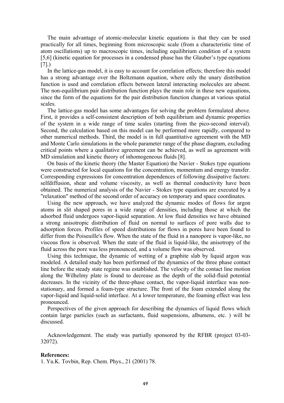The main advantage of atomic-molecular kinetic equations is that they can be used practically for all times, beginning from microscopic scale (from a characteristic time of atom oscillations) up to macroscopic times, including equilibrium condition of a system [5,6] (kinetic equation for processes in a condensed phase has the Glauber's type equations [7].)

In the lattice-gas model, it is easy to account for correlation effects; therefore this model has a strong advantage over the Boltzmann equation, where only the unary distribution function is used and correlation effects between lateral interacting molecules are absent. The non-equilibrium pair distribution function plays the main role in these new equations, since the form of the equations for the pair distribution function changes at various spatial scales.

The lattice-gas model has some advantages for solving the problem formulated above. First, it provides a self-consistent description of both equilibrium and dynamic properties of the system in a wide range of time scales (starting from the pico-second interval). Second, the calculation based on this model can be performed more rapidly, compared to other numerical methods. Third, the model is in full quantitative agreement with the MD and Monte Carlo simulations in the whole parameter range of the phase diagram, excluding critical points where a qualitative agreement can be achieved, as well as agreement with MD simulation and kinetic theory of inhomogeneous fluids [8].

On basis of the kinetic theory (the Master Equation) the Navier - Stokes type equations were constructed for local equations for the concentration, momentum and energy transfer. Corresponding expressions for concentration dependences of following dissipative factors: selfdiffusion, shear and volume viscosity, as well as thermal conductivity have been obtained. The numerical analysis of the Navier - Stokes type equations are executed by a "relaxation" method of the second order of accuracy on temporary and space coordinates.

Using the new approach, we have analyzed the dynamic modes of flows for argon atoms in slit shaped pores in a wide range of densities, including those at which the adsorbed fluid undergoes vapor-liquid separation. At low fluid densities we have obtained a strong anisotropic distribution of fluid on normal to surfaces of pore walls due to adsorption forces. Profiles of speed distributions for flows in pores have been found to differ from the Poiseuille's flow. When the state of the fluid in a nanopore is vapor-like, no viscous flow is observed. When the state of the fluid is liquid-like, the anisotropy of the fluid across the pore was less pronounced, and a volume flow was observed.

Using this technique, the dynamic of wetting of a graphite slab by liquid argon was modeled. A detailed study has been performed of the dynamics of the three phase contact line before the steady state regime was established. The velocity of the contact line motion along the Wilhelmy plate is found to decrease as the depth of the solid-fluid potential decreases. In the vicinity of the three-phase contact, the vapor-liquid interface was nonstationary, and formed a foam-type structure. The front of the foam extended along the vapor-liquid and liquid-solid interface. At a lower temperature, the foaming effect was less pronounced.

Perspectives of the given approach for describing the dynamics of liquid flows which contain large particles (such as surfactants, fluid suspensions, albumens, etc. ) will be discussed.

Acknowledgement. The study was partially sponsored by the RFBR (project 03-03- 32072).

#### **References:**

1. Yu.K. Tovbin, Rep. Chem. Phys., 21 (2001) 78.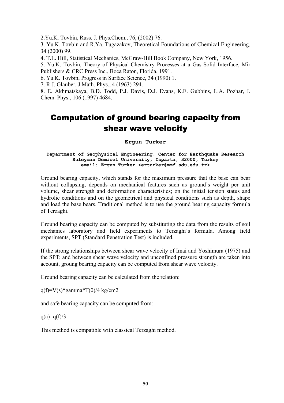2.Yu.K. Tovbin, Russ. J. Phys.Chem., 76, (2002) 76.

3. Yu.K. Tovbin and R.Ya. Tugazakov, Theoretical Foundations of Chemical Engineering, 34 (2000) 99.

4. T.L. Hill, Statistical Mechanics, McGraw-Hill Book Company, New York, 1956.

5. Yu.K. Tovbin, Theory of Physical-Chemistry Processes at a Gas-Solid Interface, Mir Publishers & CRC Press Inc., Boca Raton, Florida, 1991.

6. Yu.K. Tovbin, Progress in Surface Science, 34 (1990) 1.

7. R.J. Glauber, J.Math. Phys., 4 (1963) 294.

8. E. Akhmatskaya, B.D. Todd, P.J. Davis, D.J. Evans, K.E. Gubbins, L.A. Pozhar, J. Chem. Phys., 106 (1997) 4684.

## Computation of ground bearing capacity from shear wave velocity

**Ergun Turker** 

### **Department of Geophysical Engineering, Center for Earthquake Research Suleyman Demirel University, Isparta, 32000, Turkey email: Ergun Turker <erturker@mmf.sdu.edu.tr>**

Ground bearing capacity, which stands for the maximum pressure that the base can bear without collapsing, depends on mechanical features such as ground's weight per unit volume, shear strength and deformation characteristics; on the initial tension status and hydrolic conditions and on the geometrical and physical conditions such as depth, shape and load the base bears. Traditional method is to use the ground bearing capacity formula of Terzaghi.

Ground bearing capacity can be computed by substituting the data from the results of soil mechanics laboratory and field experiments to Terzaghi's formula. Among field experiments, SPT (Standard Penetration Test) is included.

If the strong relationships between shear wave velocity of Imai and Yoshimura (1975) and the SPT; and between shear wave velocity and unconfined pressure strength are taken into account, groung bearing capacity can be computed from shear wave velocity.

Ground bearing capacity can be calculated from the relation:

 $q(f)=V(s)*gamma*T(0)/4 kg/cm2$ 

and safe bearing capacity can be computed from:

 $q(a)=q(f)/3$ 

This method is compatible with classical Terzaghi method.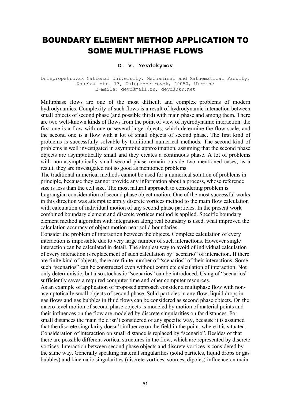## BOUNDARY ELEMENT METHOD APPLICATION TO SOME MULTIPHASE FLOWS

### **D. V. Yevdokymov**

Dniepropetrovsk National University, Mechanical and Mathematical Faculty, Nauchna str. 13, Dniepropetrovsk, 49050, Ukraine E-mails: devd@mail.ru, devd@ukr.net

Multiphase flows are one of the most difficult and complex problems of modern hydrodynamics. Complexity of such flows is a result of hydrodynamic interaction between small objects of second phase (and possible third) with main phase and among them. There are two well-known kinds of flows from the point of view of hydrodynamic interaction: the first one is a flow with one or several large objects, which determine the flow scale, and the second one is a flow with a lot of small objects of second phase. The first kind of problems is successfully solvable by traditional numerical methods. The second kind of problems is well investigated in asymptotic approximation, assuming that the second phase objects are asymptotically small and they creates a continuous phase. A lot of problems with non-asymptotically small second phase remain outside two mentioned cases, as a result, they are investigated not so good as mentioned problems.

The traditional numerical methods cannot be used for a numerical solution of problems in principle, because they cannot provide any information about a process, whose reference size is less than the cell size. The most natural approach to considering problem is Lagrangian consideration of second phase object motion. One of the most successful works in this direction was attempt to apply discrete vortices method to the main flow calculation with calculation of individual motion of any second phase particles. In the present work combined boundary element and discrete vortices method is applied. Specific boundary element method algorithm with integration along real boundary is used, what improved the calculation accuracy of object motion near solid boundaries.

Consider the problem of interaction between the objects. Complete calculation of every interaction is impossible due to very large number of such interactions. However single interaction can be calculated in detail. The simplest way to avoid of individual calculation of every interaction is replacement of such calculation by "scenario" of interaction. If there are finite kind of objects, there are finite number of "scenarios" of their interactions. Some such "scenarios" can be constructed even without complete calculation of interaction. Not only deterministic, but also stochastic "scenarios" can be introduced. Using of "scenarios" sufficiently saves a required computer time and other computer resources.

As an example of application of proposed approach consider a multiphase flow with nonasymptotically small objects of second phase. Solid particles in any flow, liquid drops in gas flows and gas bubbles in fluid flows can be considered as second phase objects. On the macro level motion of second phase objects is modeled by motion of material points and their influences on the flow are modeled by discrete singularities on far distances. For small distances the main field isn't considered of any specific way, because it is assumed that the discrete singularity doesn't influence on the field in the point, where it is situated. Consideration of interaction on small distance is replaced by "scenario". Besides of that there are possible different vortical structures in the flow, which are represented by discrete vortices. Interaction between second phase objects and discrete vortices is considered by the same way. Generally speaking material singularities (solid particles, liquid drops or gas bubbles) and kinematic singularities (discrete vortices, sources, dipoles) influence on main